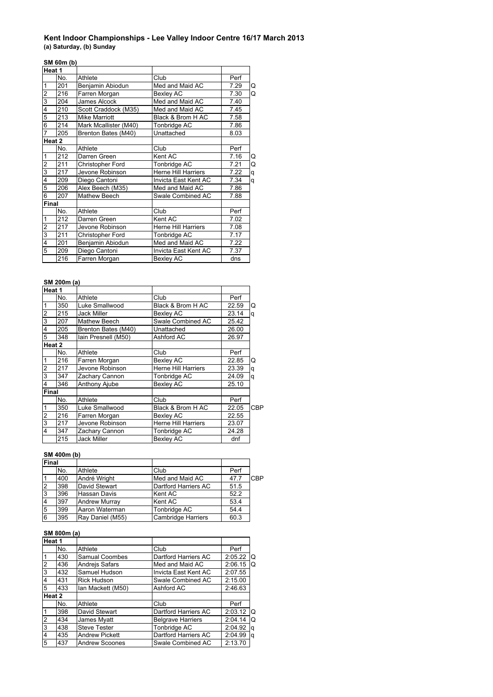# **Kent Indoor Championships - Lee Valley Indoor Centre 16/17 March 2013**

**(a) Saturday, (b) Sunday**

# **SM 60m (b)**

| Heat 1                  |     |                       |                            |      |   |
|-------------------------|-----|-----------------------|----------------------------|------|---|
|                         | No. | Athlete               | Club                       | Perf |   |
| $\overline{1}$          | 201 | Benjamin Abiodun      | Med and Maid AC            | 7.29 | Q |
| $\overline{\mathbf{c}}$ | 216 | Farren Morgan         | Bexley AC                  | 7.30 | Q |
| 3                       | 204 | James Alcock          | Med and Maid AC            | 7.40 |   |
| $\overline{4}$          | 210 | Scott Craddock (M35)  | Med and Maid AC            | 7.45 |   |
| $\overline{5}$          | 213 | <b>Mike Marriott</b>  | Black & Brom H AC          | 7.58 |   |
| 6                       | 214 | Mark Mcallister (M40) | Tonbridge AC               | 7.86 |   |
| $\overline{7}$          | 205 | Brenton Bates (M40)   | Unattached                 | 8.03 |   |
| Heat 2                  |     |                       |                            |      |   |
|                         | No. | Athlete               | Club                       | Perf |   |
| $\overline{1}$          | 212 | Darren Green          | Kent AC                    | 7.16 | Q |
|                         | 211 | Christopher Ford      | Tonbridge AC               | 7.21 | Q |
| $\frac{2}{3}$           | 217 | Jevone Robinson       | <b>Herne Hill Harriers</b> | 7.22 | q |
| $\overline{4}$          | 209 | Diego Cantoni         | Invicta East Kent AC       | 7.34 | q |
| 5                       | 206 | Alex Beech (M35)      | Med and Maid AC            | 7.86 |   |
| 6                       | 207 | Mathew Beech          | Swale Combined AC          | 7.88 |   |
| Final                   |     |                       |                            |      |   |
|                         | No. | Athlete               | Club                       | Perf |   |
| $\overline{1}$          | 212 | Darren Green          | Kent AC                    | 7.02 |   |
| $\overline{\mathbf{c}}$ | 217 | Jevone Robinson       | Herne Hill Harriers        | 7.08 |   |
| $\frac{3}{4}$           | 211 | Christopher Ford      | Tonbridge AC               | 7.17 |   |
|                         | 201 | Benjamin Abiodun      | Med and Maid AC            | 7.22 |   |
| $\overline{5}$          | 209 | Diego Cantoni         | Invicta East Kent AC       | 7.37 |   |
|                         | 216 | Farren Morgan         | <b>Bexley AC</b>           | dns  |   |

## **SM 200m (a)**

| Heat 1                  |     |                      |                            |       |            |
|-------------------------|-----|----------------------|----------------------------|-------|------------|
|                         | No. | Athlete              | Club                       | Perf  |            |
| $\overline{\mathbf{1}}$ | 350 | Luke Smallwood       | Black & Brom H AC          | 22.59 | Q          |
| $\overline{2}$          | 215 | <b>Jack Miller</b>   | Bexley AC                  | 23.14 | q          |
| 3                       | 207 | <b>Mathew Beech</b>  | Swale Combined AC          | 25.42 |            |
| 4                       | 205 | Brenton Bates (M40)  | Unattached                 | 26.00 |            |
| $\overline{5}$          | 348 | lain Presnell (M50)  | Ashford AC                 | 26.97 |            |
| Heat 2                  |     |                      |                            |       |            |
|                         | No. | Athlete              | Club                       | Perf  |            |
| $\mathbf{1}$            | 216 | Farren Morgan        | <b>Bexley AC</b>           | 22.85 | Q          |
| $\overline{2}$          | 217 | Jevone Robinson      | <b>Herne Hill Harriers</b> | 23.39 | q          |
| $\overline{3}$          | 347 | Zachary Cannon       | Tonbridge AC               | 24.09 | q          |
| $\overline{4}$          | 346 | <b>Anthony Ajube</b> | <b>Bexley AC</b>           | 25.10 |            |
| <b>Final</b>            |     |                      |                            |       |            |
|                         | No. | Athlete              | Club                       | Perf  |            |
| 1                       | 350 | Luke Smallwood       | Black & Brom H AC          | 22.05 | <b>CBP</b> |
| $\overline{2}$          | 216 | Farren Morgan        | Bexley AC                  | 22.55 |            |
| 3                       | 217 | Jevone Robinson      | <b>Herne Hill Harriers</b> | 23.07 |            |
| $\overline{4}$          | 347 | Zachary Cannon       | Tonbridge AC               | 24.28 |            |
|                         | 215 | <b>Jack Miller</b>   | <b>Bexlev AC</b>           | dnf   |            |

## **SM 400m (b)**

| <b>Final</b>   |     |                      |                           |      |            |
|----------------|-----|----------------------|---------------------------|------|------------|
|                | No. | Athlete              | Club                      | Perf |            |
|                | 400 | André Wright         | Med and Maid AC           | 47.7 | <b>CBP</b> |
| $\overline{2}$ | 398 | David Stewart        | Dartford Harriers AC      | 51.5 |            |
| l3             | 396 | Hassan Davis         | Kent AC                   | 52.2 |            |
| 4              | 397 | <b>Andrew Murray</b> | Kent AC                   | 53.4 |            |
| 5              | 399 | Aaron Waterman       | Tonbridge AC              | 54.4 |            |
| 6              | 395 | Ray Daniel (M55)     | <b>Cambridge Harriers</b> | 60.3 |            |

## **SM 800m (a)**

| Heat 1         |     |                       |                          |         |   |
|----------------|-----|-----------------------|--------------------------|---------|---|
|                | No. | Athlete               | Club                     | Perf    |   |
|                | 430 | Samual Coombes        | Dartford Harriers AC     | 2:05.22 | O |
| $\overline{2}$ | 436 | Andrejs Safars        | Med and Maid AC          | 2:06.15 | Q |
| 3              | 432 | Samuel Hudson         | Invicta East Kent AC     | 2:07.55 |   |
| 4              | 431 | <b>Rick Hudson</b>    | Swale Combined AC        | 2:15.00 |   |
| 5              | 433 | Ian Mackett (M50)     | Ashford AC               | 2:46.63 |   |
| Heat 2         |     |                       |                          |         |   |
|                | No. | Athlete               | Club                     | Perf    |   |
| $\mathbf{1}$   | 398 | David Stewart         | Dartford Harriers AC     | 2:03.12 | O |
| $\overline{2}$ | 434 | James Myatt           | <b>Belgrave Harriers</b> | 2:04.14 | Q |
| 3              | 438 | <b>Steve Tester</b>   | Tonbridge AC             | 2:04.92 | q |
| $\overline{4}$ | 435 | <b>Andrew Pickett</b> | Dartford Harriers AC     | 2:04.99 | q |
| 5              | 437 | <b>Andrew Scoones</b> | Swale Combined AC        | 2:13.70 |   |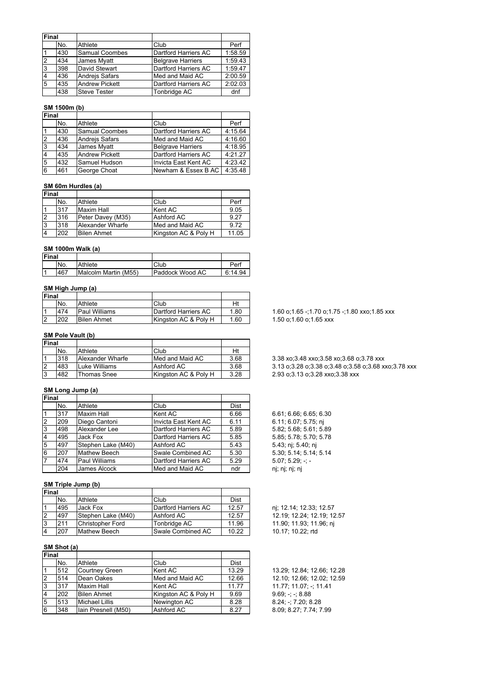| Final          |     |                       |                          |         |
|----------------|-----|-----------------------|--------------------------|---------|
|                | No. | Athlete               | Club                     | Perf    |
|                | 430 | Samual Coombes        | Dartford Harriers AC     | 1:58.59 |
| $\overline{2}$ | 434 | James Myatt           | <b>Belgrave Harriers</b> | 1:59.43 |
| 3              | 398 | David Stewart         | Dartford Harriers AC     | 1:59.47 |
| $\overline{4}$ | 436 | Andrejs Safars        | Med and Maid AC          | 2:00.59 |
| 5              | 435 | <b>Andrew Pickett</b> | Dartford Harriers AC     | 2:02.03 |
|                | 438 | <b>Steve Tester</b>   | Tonbridge AC             | dnf     |

#### **SM 1500m (b)**

| Final          |     |                       |                          |         |
|----------------|-----|-----------------------|--------------------------|---------|
|                | No. | Athlete               | Club                     | Perf    |
|                | 430 | Samual Coombes        | Dartford Harriers AC     | 4:15.64 |
| $\overline{2}$ | 436 | Andrejs Safars        | Med and Maid AC          | 4:16.60 |
| l3             | 434 | James Myatt           | <b>Belgrave Harriers</b> | 4:18.95 |
| $\overline{4}$ | 435 | <b>Andrew Pickett</b> | Dartford Harriers AC     | 4:21.27 |
| 5              | 432 | Samuel Hudson         | Invicta East Kent AC     | 4:23.42 |
| 6              | 461 | George Choat          | Newham & Essex B AC I    | 4:35.48 |

#### **SM 60m Hurdles (a)**

| <b>Final</b> |     |                    |                      |       |
|--------------|-----|--------------------|----------------------|-------|
|              | No. | Athlete            | Club                 | Perf  |
|              | 317 | <b>Maxim Hall</b>  | Kent AC              | 9.05  |
|              | 316 | Peter Davey (M35)  | Ashford AC           | 9.27  |
| Ι3           | 318 | Alexander Wharfe   | Med and Maid AC      | 9.72  |
|              | 202 | <b>Bilen Ahmet</b> | Kingston AC & Poly H | 11.05 |

### **SM 1000m Walk (a)**

| <b>Final</b> |     |                      |                 |         |
|--------------|-----|----------------------|-----------------|---------|
|              | No. | Athlete              | Club            | Perf    |
|              | 467 | Malcolm Martin (M55) | Paddock Wood AC | 6:14.94 |

## **SM High Jump (a)**

| Final          |     |                    |                      |      |
|----------------|-----|--------------------|----------------------|------|
|                | No. | Athlete            | Club                 | Hi   |
| 14             | 474 | Paul Williams      | Dartford Harriers AC | 1.80 |
| $\overline{2}$ | 202 | <b>Bilen Ahmet</b> | Kingston AC & Poly H | 1.60 |

#### **SM Pole Vault (b)**

| <b>Final</b> |     |                  |                      |      |
|--------------|-----|------------------|----------------------|------|
|              | No. | Athlete          | Club                 | Ht   |
|              | 318 | Alexander Wharfe | Med and Maid AC      | 3.68 |
| 12           | 483 | Luke Williams    | Ashford AC           | 3.68 |
| IЗ           | 482 | Thomas Snee      | Kingston AC & Poly H | 3.28 |

#### **SM Long Jump (a)**

| Final          |     |                      |                      |             |
|----------------|-----|----------------------|----------------------|-------------|
|                | No. | Athlete              | Club                 | <b>Dist</b> |
|                | 317 | <b>Maxim Hall</b>    | Kent AC              | 6.66        |
| $\overline{2}$ | 209 | Diego Cantoni        | Invicta East Kent AC | 6.11        |
| 3              | 498 | Alexander Lee        | Dartford Harriers AC | 5.89        |
| $\overline{4}$ | 495 | Jack Fox             | Dartford Harriers AC | 5.85        |
| 5              | 497 | Stephen Lake (M40)   | Ashford AC           | 5.43        |
| 6              | 207 | <b>Mathew Beech</b>  | Swale Combined AC    | 5.30        |
| $\overline{7}$ | 474 | <b>Paul Williams</b> | Dartford Harriers AC | 5.29        |
|                | 204 | James Alcock         | Med and Maid AC      | ndr         |

#### **SM Triple Jump (b)**

| <b>Final</b> |     |                         |                      |       |
|--------------|-----|-------------------------|----------------------|-------|
|              | No. | Athlete                 | Club                 | Dist  |
|              | 495 | Jack Fox                | Dartford Harriers AC | 12.57 |
|              | 497 | Stephen Lake (M40)      | Ashford AC           | 12.57 |
| Ι3           | 211 | <b>Christopher Ford</b> | Tonbridge AC         | 11.96 |
|              | 207 | <b>Mathew Beech</b>     | Swale Combined AC    | 10.22 |

## **SM Shot (a)**

| Final          |     |                       |                      |       |
|----------------|-----|-----------------------|----------------------|-------|
|                | No. | Athlete               | Club                 | Dist  |
|                | 512 | <b>Courtney Green</b> | Kent AC              | 13.29 |
| $\overline{2}$ | 514 | Dean Oakes            | Med and Maid AC      | 12.66 |
| Iз             | 317 | <b>Maxim Hall</b>     | Kent AC              | 11.77 |
| $\overline{4}$ | 202 | <b>Bilen Ahmet</b>    | Kingston AC & Poly H | 9.69  |
| 5              | 513 | <b>Michael Lillis</b> | Newington AC         | 8.28  |
| 6              | 348 | Iain Presnell (M50)   | Ashford AC           | 8.27  |

1.60 o;1.65 -;1.70 o;1.75 -;1.80 xxo;1.85 xxx  $1.50$  o;1.60 o;1.65 xxx

#### 1 318 Alexander Wharfe Med and Maid AC 3.68 3.38 xo;3.48 xxo;3.58 xo;3.68 o;3.78 xxx 3.13 o;3.28 o;3.38 o;3.48 o;3.58 o;3.68 xxo;3.78 xxx 2.93 o;3.13 o;3.28 xxo;3.38 xxx

 $6.61; 6.66; 6.65; 6.30$  $6.11; 6.07; 5.75; nj$ 5.82; 5.68; 5.61; 5.89 5.85; 5.78; 5.70; 5.78 5.43; nj; 5.40; nj  $5.30; 5.14; 5.14; 5.14$  $5.07; 5.29; -;$ nj; nj; nj; nj

nj; 12.14; 12.33; 12.57 12.19; 12.24; 12.19; 12.57 11.90; 11.93; 11.96; nj 10.17; 10.22; rtd

13.29; 12.84; 12.66; 12.28 12.10; 12.66; 12.02; 12.59  $31.77$ ; 11.07; -; 11.41  $9.69; -; -; 8.88$  $8.24; -7.20; 8.28$ 8 09; 8.27; 7.74; 7.99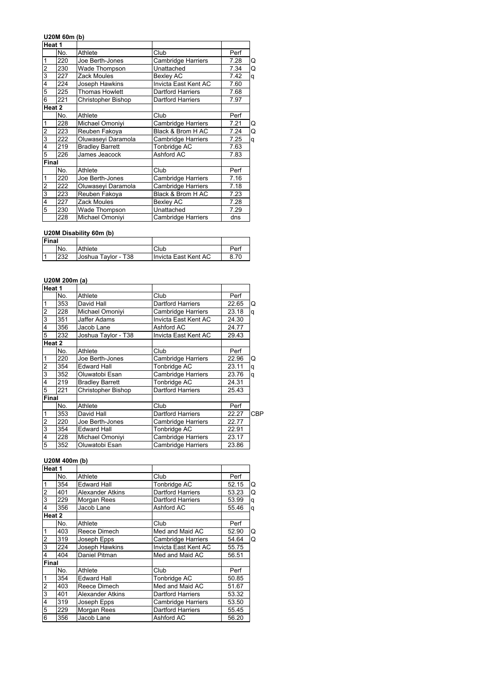## **U20M 60m (b)**

|                         | Heat 1 |                        |                           |      |   |
|-------------------------|--------|------------------------|---------------------------|------|---|
|                         | No.    | Athlete                | Club                      | Perf |   |
| 1                       | 220    | Joe Berth-Jones        | Cambridge Harriers        | 7.28 | Q |
| $\overline{c}$          | 230    | Wade Thompson          | Unattached                | 7.34 | Q |
| $\overline{3}$          | 227    | Zack Moules            | Bexley AC                 | 7.42 | q |
| 4                       | 224    | Joseph Hawkins         | Invicta East Kent AC      | 7.60 |   |
| 5                       | 225    | <b>Thomas Howlett</b>  | <b>Dartford Harriers</b>  | 7.68 |   |
| 6                       | 221    | Christopher Bishop     | <b>Dartford Harriers</b>  | 7.97 |   |
|                         | Heat 2 |                        |                           |      |   |
|                         | No.    | Athlete                | Club                      | Perf |   |
| 1                       | 228    | Michael Omoniyi        | Cambridge Harriers        | 7.21 | Q |
| $\overline{\mathbf{c}}$ | 223    | Reuben Fakova          | Black & Brom H AC         | 7.24 | Q |
| 3                       | 222    | Oluwaseyi Daramola     | Cambridge Harriers        | 7.25 | q |
| 4                       | 219    | <b>Bradley Barrett</b> | Tonbridge AC              | 7.63 |   |
| 5                       | 226    | James Jeacock          | Ashford AC                | 7.83 |   |
| <b>Final</b>            |        |                        |                           |      |   |
|                         | No.    | Athlete                | Club                      | Perf |   |
| 1                       | 220    | Joe Berth-Jones        | Cambridge Harriers        | 7.16 |   |
| $\overline{2}$          | 222    | Oluwaseyi Daramola     | Cambridge Harriers        | 7.18 |   |
| 3                       | 223    | Reuben Fakoya          | Black & Brom H AC         | 7.23 |   |
| 4                       | 227    | Zack Moules            | Bexley AC                 | 7.28 |   |
| 5                       | 230    | <b>Wade Thompson</b>   | Unattached                | 7.29 |   |
|                         | 228    | Michael Omoniyi        | <b>Cambridge Harriers</b> | dns  |   |

## **U20M Disability 60m (b)**

| Final |     |                     |                      |      |
|-------|-----|---------------------|----------------------|------|
|       | No. | Athlete             | Club                 | Perf |
| ا -   | 232 | Joshua Taylor - T38 | Invicta East Kent AC | 8.70 |

## **U20M 200m (a)**

| Heat 1                  |     |                           |                           |       |     |
|-------------------------|-----|---------------------------|---------------------------|-------|-----|
|                         | No. | Athlete                   | Club                      | Perf  |     |
| $\overline{1}$          | 353 | David Hall                | <b>Dartford Harriers</b>  | 22.65 | Q   |
|                         | 228 | Michael Omoniyi           | <b>Cambridge Harriers</b> | 23.18 | q   |
| ما س                    | 351 | Jaffer Adams              | Invicta East Kent AC      | 24.30 |     |
|                         | 356 | Jacob Lane                | Ashford AC                | 24.77 |     |
| 5                       | 232 | Joshua Taylor - T38       | Invicta East Kent AC      | 29.43 |     |
| Heat 2                  |     |                           |                           |       |     |
|                         | No. | Athlete                   | Club                      | Perf  |     |
| $\overline{\mathbf{1}}$ | 220 | Joe Berth-Jones           | Cambridge Harriers        | 22.96 | Q   |
|                         | 354 | <b>Edward Hall</b>        | Tonbridge AC              | 23.11 | q   |
|                         | 352 | Oluwatobi Esan            | <b>Cambridge Harriers</b> | 23.76 | q   |
|                         | 219 | <b>Bradley Barrett</b>    | Tonbridge AC              | 24.31 |     |
| 5                       | 221 | <b>Christopher Bishop</b> | <b>Dartford Harriers</b>  | 25.43 |     |
| Final                   |     |                           |                           |       |     |
|                         | No. | Athlete                   | Club                      | Perf  |     |
| $\overline{1}$          | 353 | David Hall                | <b>Dartford Harriers</b>  | 22.27 | CBP |
|                         | 220 | Joe Berth-Jones           | <b>Cambridge Harriers</b> | 22.77 |     |
| α∣ m                    | 354 | <b>Edward Hall</b>        | Tonbridge AC              | 22.91 |     |
|                         | 228 | Michael Omoniyi           | <b>Cambridge Harriers</b> | 23.17 |     |
| 5                       | 352 | Oluwatobi Esan            | <b>Cambridge Harriers</b> | 23.86 |     |
|                         |     |                           |                           |       |     |

## **U20M 400m (b)**

| Heat 1                  |        |                         |                           |       |   |
|-------------------------|--------|-------------------------|---------------------------|-------|---|
|                         | No.    | Athlete                 | Club                      | Perf  |   |
| $\mathbf 1$             | 354    | <b>Edward Hall</b>      | Tonbridge AC              | 52.15 | Q |
| $\overline{2}$          | 401    | Alexander Atkins        | <b>Dartford Harriers</b>  | 53.23 | Q |
| 3                       | 229    | Morgan Rees             | <b>Dartford Harriers</b>  | 53.99 | q |
| 4                       | 356    | Jacob Lane              | Ashford AC                | 55.46 | q |
|                         | Heat 2 |                         |                           |       |   |
|                         | No.    | Athlete                 | Club                      | Perf  |   |
| $\mathbf{1}$            | 403    | Reece Dimech            | Med and Maid AC           | 52.90 | Q |
| $\overline{\mathbf{c}}$ | 319    | Joseph Epps             | <b>Cambridge Harriers</b> | 54.64 | Q |
| $\overline{3}$          | 224    | Joseph Hawkins          | Invicta East Kent AC      | 55.75 |   |
| $\overline{4}$          | 404    | Daniel Pitman           | Med and Maid AC           | 56.51 |   |
| Final                   |        |                         |                           |       |   |
|                         | No.    | Athlete                 | Club                      | Perf  |   |
| 1                       | 354    | <b>Edward Hall</b>      | Tonbridge AC              | 50.85 |   |
| $\overline{\mathbf{c}}$ | 403    | Reece Dimech            | Med and Maid AC           | 51.67 |   |
| $\overline{3}$          | 401    | <b>Alexander Atkins</b> | <b>Dartford Harriers</b>  | 53.32 |   |
| 4                       | 319    | Joseph Epps             | <b>Cambridge Harriers</b> | 53.50 |   |
| 5                       | 229    | Morgan Rees             | <b>Dartford Harriers</b>  | 55.45 |   |
| 6                       | 356    | Jacob Lane              | Ashford AC                | 56.20 |   |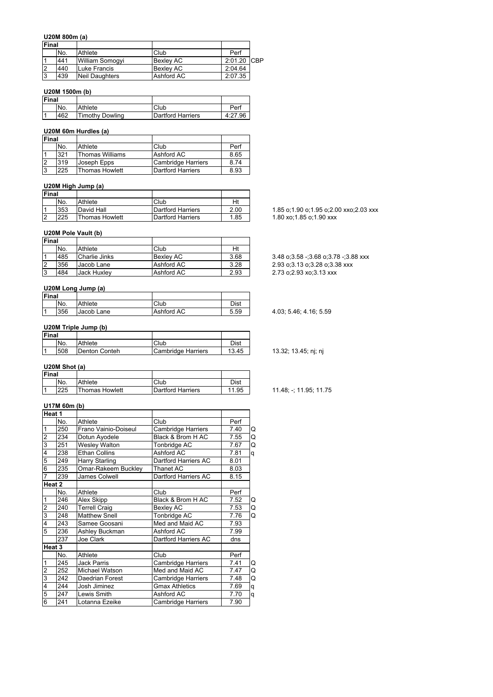#### **U20M 800m (a)**

| Final |     |                       |                  |             |  |
|-------|-----|-----------------------|------------------|-------------|--|
|       | No. | Athlete               | Club             | Perf        |  |
|       | 441 | William Somogyi       | <b>Bexley AC</b> | 2:01.20 CBP |  |
|       | 440 | Luke Francis          | <b>Bexley AC</b> | 2:04.64     |  |
|       | 439 | <b>Neil Daughters</b> | Ashford AC       | 2:07.35     |  |

### **U20M 1500m (b)**

| <b>Final</b> |     |                 |                   |         |
|--------------|-----|-----------------|-------------------|---------|
|              | No. | Athlete         | Club              | Perl    |
|              | 462 | Timothy Dowling | Dartford Harriers | 4:27.96 |

## **U20M 60m Hurdles (a)**

|      |                    |                        | Final |  |
|------|--------------------|------------------------|-------|--|
| Perf | Club               | Athlete                | No.   |  |
| 8.65 | Ashford AC         | <b>Thomas Williams</b> | 321   |  |
| 8.74 | Cambridge Harriers | Joseph Epps            | 319   |  |
| 8.93 | Dartford Harriers  | <b>Thomas Howlett</b>  | 225   |  |
|      |                    |                        |       |  |

# **U20M High Jump (a)**

| Final |     |                       |                   |      |
|-------|-----|-----------------------|-------------------|------|
|       | No. | Athlete               | Club              |      |
|       | 353 | David Hall            | Dartford Harriers | 2.00 |
|       | 225 | <b>Thomas Howlett</b> | Dartford Harriers | 1.85 |

## **U20M Pole Vault (b)**

| <b>Final</b> |     |                    |                  |      |
|--------------|-----|--------------------|------------------|------|
|              | No. | Athlete            | Club             | Ht   |
|              | 485 | Charlie Jinks      | <b>Bexlev AC</b> | 3.68 |
|              | 356 | Jacob Lane         | Ashford AC       | 3.28 |
|              | 484 | <b>Jack Huxley</b> | Ashford AC       | 2.93 |

#### **U20M Long Jump (a)**

| Final |     |            |            |      |
|-------|-----|------------|------------|------|
|       | No. | Athlete    | Club       | Dist |
| 11    | 356 | Jacob Lane | Ashford AC | 5.59 |

#### **U20M Triple Jump (b)**

| Final |     |               |                           |       |
|-------|-----|---------------|---------------------------|-------|
|       | No. | Athlete       | Club                      | Dist  |
|       | 508 | Denton Conteh | <b>Cambridge Harriers</b> | 13.45 |

## **U20M Shot (a)**

| Final |     |                       |                   |       |
|-------|-----|-----------------------|-------------------|-------|
|       | No. | Athlete               | Club              | Dist  |
|       | 225 | <b>Thomas Howlett</b> | Dartford Harriers | '1.95 |

## **U17M 60m (b)**

|                         | Heat 1            |                      |                           |      |   |
|-------------------------|-------------------|----------------------|---------------------------|------|---|
|                         | No.               | Athlete              | Club                      | Perf |   |
| 1                       | 250               | Frano Vainio-Doiseul | Cambridge Harriers        | 7.40 | Q |
| $\overline{c}$          | 234               | Dotun Ayodele        | Black & Brom H AC         | 7.55 | Q |
| 3                       | 251               | <b>Wesley Walton</b> | Tonbridge AC              | 7.67 | Q |
| 4                       | 238               | <b>Ethan Collins</b> | Ashford AC                | 7.81 | q |
| 5                       | 249               | Harry Starling       | Dartford Harriers AC      | 8.01 |   |
| 6                       | 235               | Omar-Rakeem Buckley  | Thanet AC                 | 8.03 |   |
| $\overline{7}$          | 239               | James Colwell        | Dartford Harriers AC      | 8.15 |   |
|                         | Heat 2            |                      |                           |      |   |
|                         | No.               | Athlete              | Club                      | Perf |   |
| $\mathbf{1}$            | 246               | Alex Skipp           | Black & Brom H AC         | 7.52 | Q |
| $\overline{\mathbf{c}}$ | 240               | Terrell Craig        | Bexley AC                 | 7.53 | Q |
| 3                       | 248               | <b>Matthew Snell</b> | Tonbridge AC              | 7.76 | Q |
| 4                       | 243               | Samee Goosani        | Med and Maid AC           | 7.93 |   |
| $\overline{5}$          | 236               | Ashley Buckman       | Ashford AC                | 7.99 |   |
|                         | 237               | Joe Clark            | Dartford Harriers AC      | dns  |   |
|                         | Heat <sub>3</sub> |                      |                           |      |   |
|                         | No.               | Athlete              | Club                      | Perf |   |
| 1                       | 245               | Jack Parris          | Cambridge Harriers        | 7.41 | Q |
| $\overline{\mathbf{c}}$ | 252               | Michael Watson       | Med and Maid AC           | 7.47 | Q |
| 3                       | 242               | Daedrian Forest      | Cambridge Harriers        | 7.48 | Q |
| 4                       | 244               | Josh Jiminez         | <b>Gmax Athletics</b>     | 7.69 | q |
| 5                       | 247               | Lewis Smith          | Ashford AC                | 7.70 | q |
| 6                       | 241               | Lotanna Ezeike       | <b>Cambridge Harriers</b> | 7.90 |   |

1.85 o;1.90 o;1.95 o;2.00 xxo;2.03 xxx 1.80 xo;1.85 o;1.90 xxx

3.48 o;3.58 -;3.68 o;3.78 -;3.88 xxx 2.93 o;3.13 o;3.28 o;3.38 xxx  $2.73$  o;2.93 xo;3.13 xxx

4.03; 5.46; 4.16; 5.59

13.32; 13.45; nj; nj

11.48; -; 11.95; 11.75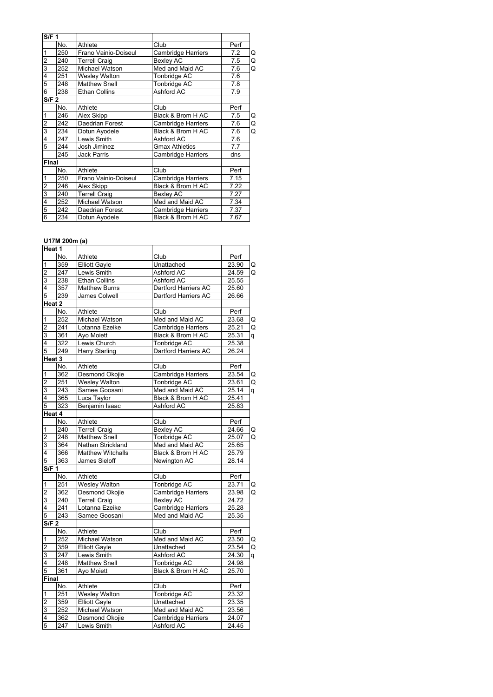| S/F <sub>1</sub>        |     |                      |                       |      |   |
|-------------------------|-----|----------------------|-----------------------|------|---|
|                         | No. | Athlete              | Club                  | Perf |   |
| 1                       | 250 | Frano Vainio-Doiseul | Cambridge Harriers    | 7.2  | Q |
| $\overline{\mathbf{c}}$ | 240 | Terrell Craig        | Bexley AC             | 7.5  | Q |
| 3                       | 252 | Michael Watson       | Med and Maid AC       | 7.6  | Q |
| 4                       | 251 | <b>Wesley Walton</b> | Tonbridge AC          | 7.6  |   |
| $\overline{5}$          | 248 | <b>Matthew Snell</b> | Tonbridge AC          | 7.8  |   |
| $\overline{6}$          | 238 | <b>Ethan Collins</b> | Ashford AC            | 7.9  |   |
| S/F <sub>2</sub>        |     |                      |                       |      |   |
|                         | No. | Athlete              | Club                  | Perf |   |
| $\overline{1}$          | 246 | Alex Skipp           | Black & Brom H AC     | 7.5  | Q |
| $\overline{2}$          | 242 | Daedrian Forest      | Cambridge Harriers    | 7.6  | Q |
| 3                       | 234 | Dotun Ayodele        | Black & Brom H AC     | 7.6  | Q |
| 4                       | 247 | Lewis Smith          | Ashford AC            | 7.6  |   |
| 5                       | 244 | Josh Jiminez         | <b>Gmax Athletics</b> | 7.7  |   |
|                         | 245 | <b>Jack Parris</b>   | Cambridge Harriers    | dns  |   |
| Final                   |     |                      |                       |      |   |
|                         | No. | Athlete              | Club                  | Perf |   |
| 1                       | 250 | Frano Vainio-Doiseul | Cambridge Harriers    | 7.15 |   |
| $\overline{\mathbf{c}}$ | 246 | Alex Skipp           | Black & Brom H AC     | 7.22 |   |
| 3                       | 240 | <b>Terrell Craig</b> | Bexley AC             | 7.27 |   |
| 4                       | 252 | Michael Watson       | Med and Maid AC       | 7.34 |   |
| 5                       | 242 | Daedrian Forest      | Cambridge Harriers    | 7.37 |   |
| $\overline{6}$          | 234 | Dotun Ayodele        | Black & Brom H AC     | 7.67 |   |

# **U17M 200m (a)**

| Heat 1           |                  |                       |                           |       |   |
|------------------|------------------|-----------------------|---------------------------|-------|---|
|                  | No.              | Athlete               | $\overline{\text{Club}}$  | Perf  |   |
| 1                | 359              | <b>Elliott Gayle</b>  | Unattached                | 23.90 | Q |
| $\overline{2}$   | 247              | Lewis Smith           | Ashford AC                | 24.59 | Q |
| 3                | 238              | <b>Ethan Collins</b>  | Ashford AC                | 25.55 |   |
| 4                | 357              | Matthew Burns         | Dartford Harriers AC      | 25.60 |   |
| 5                | 239              | James Colwell         | Dartford Harriers AC      | 26.66 |   |
|                  | Heat 2           |                       |                           |       |   |
|                  | No.              | Athlete               | Club                      | Perf  |   |
| $\mathbf{1}$     | 252              | Michael Watson        | Med and Maid AC           | 23.68 | Q |
| $\overline{2}$   | 241              | Lotanna Ezeike        | Cambridge Harriers        | 25.21 | Q |
| 3                | 361              | Ayo Moiett            | Black & Brom H AC         | 25.31 | q |
| 4                | 322              | Lewis Church          | Tonbridge AC              | 25.38 |   |
| 5                | 249              | <b>Harry Starling</b> | Dartford Harriers AC      | 26.24 |   |
|                  | Heat 3           |                       |                           |       |   |
|                  | No.              | Athlete               | Club                      | Perf  |   |
| 1                | 362              | Desmond Okojie        | <b>Cambridge Harriers</b> | 23.54 | Q |
| $\overline{c}$   | 251              | <b>Wesley Walton</b>  | Tonbridge AC              | 23.61 | Q |
| $\overline{3}$   | 243              | Samee Goosani         | Med and Maid AC           | 25.14 | q |
| $\overline{4}$   | 365              | Luca Taylor           | Black & Brom H AC         | 25.41 |   |
| 5                | 323              | Benjamin Isaac        | Ashford AC                | 25.83 |   |
|                  | Heat 4           |                       |                           |       |   |
|                  | No.              | Athlete               | Club                      | Perf  |   |
| 1                | 240              | <b>Terrell Craig</b>  | <b>Bexley AC</b>          | 24.66 | Q |
| $\overline{2}$   | 248              | <b>Matthew Snell</b>  | <b>Tonbridge AC</b>       | 25.07 | Q |
| 3                | 364              | Nathan Strickland     | Med and Maid AC           | 25.65 |   |
| 4                | 366              | Matthew Witchalls     | Black & Brom H AC         | 25.79 |   |
| 5                | 363              | James Sieloff         | Newington AC              | 28.14 |   |
| S/F 1            |                  |                       |                           |       |   |
|                  | No.              | Athlete               | Club                      | Perf  |   |
| 1                | 251              | <b>Wesley Walton</b>  | Tonbridge AC              | 23.71 | Q |
| $\overline{c}$   | 362              | Desmond Okojie        | <b>Cambridge Harriers</b> | 23.98 | Q |
| 3                | 240              | <b>Terrell Craig</b>  | Bexley AC                 | 24.72 |   |
| 4                | 241              | Lotanna Ezeike        | <b>Cambridge Harriers</b> | 25.28 |   |
| 5                | 243              | Samee Goosani         | Med and Maid AC           | 25.35 |   |
| S/F <sub>2</sub> |                  |                       |                           |       |   |
|                  | No.              | Athlete               | Club                      | Perf  |   |
| 1                | 252              | Michael Watson        | Med and Maid AC           | 23.50 | Q |
| $\overline{2}$   | 359              | <b>Elliott Gayle</b>  | Unattached                | 23.54 | Q |
| 3                | $\overline{247}$ | Lewis Smith           | Ashford AC                | 24.30 | q |
| $\overline{4}$   | 248              | <b>Matthew Snell</b>  | Tonbridge AC              | 24.98 |   |
| 5                | 361              | Ayo Moiett            | Black & Brom H AC         | 25.70 |   |
| Final            |                  |                       |                           |       |   |
|                  | No.              | Athlete               | Club                      | Perf  |   |
| 1                | 251              | <b>Wesley Walton</b>  | Tonbridge AC              | 23.32 |   |
| $\overline{2}$   | 359              | <b>Elliott Gayle</b>  | Unattached                | 23.35 |   |
| 3                | 252              | Michael Watson        | Med and Maid AC           | 23.56 |   |
| 4                | 362              | Desmond Okojie        | Cambridge Harriers        | 24.07 |   |
| 5                | 247              | Lewis Smith           | Ashford AC                | 24.45 |   |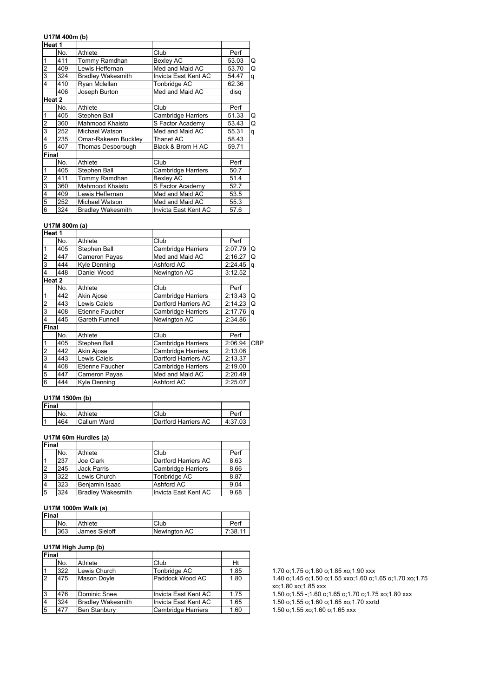#### **U17M 400m (b)**

| Heat 1                  |        |                          |                           |       |   |
|-------------------------|--------|--------------------------|---------------------------|-------|---|
|                         | No.    | Athlete                  | Club                      | Perf  |   |
| 1                       | 411    | Tommy Ramdhan            | <b>Bexley AC</b>          | 53.03 | Q |
| $\overline{\mathbf{c}}$ | 409    | Lewis Heffernan          | Med and Maid AC           | 53.70 | Q |
| $\overline{3}$          | 324    | <b>Bradley Wakesmith</b> | Invicta East Kent AC      | 54.47 | q |
| 4                       | 410    | Ryan Mclellan            | Tonbridge AC              | 62.36 |   |
|                         | 406    | Joseph Burton            | Med and Maid AC           | disg  |   |
|                         | Heat 2 |                          |                           |       |   |
|                         | No.    | Athlete                  | Club                      | Perf  |   |
| 1                       | 405    | Stephen Ball             | Cambridge Harriers        | 51.33 | Q |
| $\overline{c}$          | 360    | Mahmood Khaisto          | S Factor Academy          | 53.43 | Q |
| $\overline{3}$          | 252    | Michael Watson           | Med and Maid AC           | 55.31 | q |
| 4                       | 235    | Omar-Rakeem Buckley      | Thanet AC                 | 58.43 |   |
| 5                       | 407    | Thomas Desborough        | Black & Brom H AC         | 59.71 |   |
| Final                   |        |                          |                           |       |   |
|                         | No.    | Athlete                  | Club                      | Perf  |   |
| 1                       | 405    | Stephen Ball             | <b>Cambridge Harriers</b> | 50.7  |   |
| $\overline{2}$          | 411    | Tommy Ramdhan            | <b>Bexley AC</b>          | 51.4  |   |
| $\overline{3}$          | 360    | Mahmood Khaisto          | S Factor Academy          | 52.7  |   |
| 4                       | 409    | Lewis Heffernan          | Med and Maid AC           | 53.5  |   |
| 5                       | 252    | Michael Watson           | Med and Maid AC           | 55.3  |   |
| $\overline{6}$          | 324    | <b>Bradley Wakesmith</b> | Invicta East Kent AC      | 57.6  |   |

#### **U17M 800m (a)**

| Heat 1         |        |                     |                           |         |     |
|----------------|--------|---------------------|---------------------------|---------|-----|
|                | No.    | Athlete             | Club                      | Perf    |     |
| 1              | 405    | Stephen Ball        | <b>Cambridge Harriers</b> | 2:07.79 | Q   |
| $\overline{2}$ | 447    | Cameron Payas       | Med and Maid AC           | 2:16.27 | Q   |
| 3              | 444    | <b>Kyle Denning</b> | Ashford AC                | 2:24.45 | a   |
| 4              | 448    | Daniel Wood         | Newington AC              | 3:12.52 |     |
|                | Heat 2 |                     |                           |         |     |
|                | No.    | Athlete             | Club                      | Perf    |     |
| 1              | 442    | Akin Ajose          | <b>Cambridge Harriers</b> | 2:13.43 | Q   |
| 2              | 443    | Lewis Caiels        | Dartford Harriers AC      | 2:14.23 | Q   |
| 3              | 408    | Etienne Faucher     | <b>Cambridge Harriers</b> | 2:17.76 | a   |
| 4              | 445    | Gareth Funnell      | Newington AC              | 2:34.86 |     |
| Final          |        |                     |                           |         |     |
|                | No.    | Athlete             | Club                      | Perf    |     |
| 1              | 405    | Stephen Ball        | <b>Cambridge Harriers</b> | 2:06.94 | CBP |
| 2              | 442    | Akin Ajose          | <b>Cambridge Harriers</b> | 2:13.06 |     |
| 3              | 443    | Lewis Caiels        | Dartford Harriers AC      | 2:13.37 |     |
| 4              | 408    | Etienne Faucher     | <b>Cambridge Harriers</b> | 2:19.00 |     |
| 5              | 447    | Cameron Payas       | Med and Maid AC           | 2:20.49 |     |
| 6              | 444    | Kyle Denning        | Ashford AC                | 2:25.07 |     |

## **U17M 1500m (b)**

| <b>Final</b> |     |             |                      |         |
|--------------|-----|-------------|----------------------|---------|
|              | No. | Athlete     | Club                 | Per     |
|              | 464 | Callum Ward | Dartford Harriers AC | 4:37.03 |

## **U17M 60m Hurdles (a)**

| <b>Final</b> |     |                          |                           |      |
|--------------|-----|--------------------------|---------------------------|------|
|              | No. | Athlete                  | Club                      | Perf |
|              | 237 | Joe Clark                | Dartford Harriers AC      | 8.63 |
| 12           | 245 | <b>Jack Parris</b>       | <b>Cambridge Harriers</b> | 8.66 |
| 3            | 322 | Lewis Church             | Tonbridge AC              | 8.87 |
|              | 323 | Benjamin Isaac           | Ashford AC                | 9.04 |
| 5            | 324 | <b>Bradley Wakesmith</b> | Invicta East Kent AC      | 9.68 |

## **U17M 1000m Walk (a)**

| Final |     |               |              |       |
|-------|-----|---------------|--------------|-------|
|       | No. | Athlete       | Club         | Per   |
|       | 363 | James Sieloff | Newington AC | 7:38. |

## **U17M High Jump (b)**

| Final |     |                          |                       |      |                                                                |
|-------|-----|--------------------------|-----------------------|------|----------------------------------------------------------------|
|       | No. | Athlete                  | Club                  | Ht   |                                                                |
|       | 322 | Lewis Church             | Tonbridge AC          | 1.85 | 1.70 o;1.75 o;1.80 o;1.85 xo;1.90 xxx                          |
| 12    | 475 | Mason Doyle              | Paddock Wood AC       | 1.80 | 1.40 o;1.45 o;1.50 o;1.55 xxo;1.60 o;1.<br>xo;1.80 xo;1.85 xxx |
| 13    | 476 | Dominic Snee             | IInvicta East Kent AC | 1.75 | 1.50 o:1.55 -:1.60 o:1.65 o:1.70 o:1.75                        |
| 14    | 324 | <b>Bradley Wakesmith</b> | Ilnvicta East Kent AC | 1.65 | 1.50 o; 1.55 o; 1.60 o; 1.65 xo; 1.70 xxrtd                    |
| 5     | 477 | <b>Ben Stanbury</b>      | Cambridge Harriers    | 1.60 | 1.50 o:1.55 xo:1.60 o:1.65 xxx                                 |

1.70 o;1.75 o;1.80 o;1.85 xo;1.90 xxx 1.40 o;1.45 o;1.50 o;1.55 xxo;1.60 o;1.65 o;1.70 xo;1.75 xo;1.80 xo;1.85 xxx

1.50 o;1.55 -;1.60 o;1.65 o;1.70 o;1.75 xo;1.80 xxx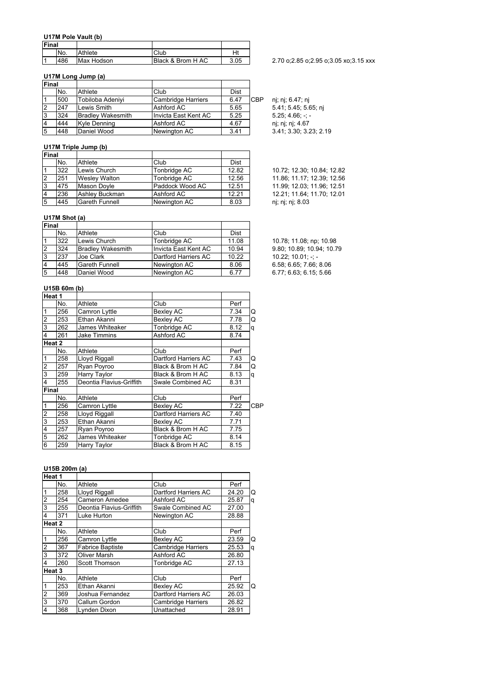#### **U17M Pole Vault (b)**

| <b>IFinal</b> |     |            |                   |      |
|---------------|-----|------------|-------------------|------|
|               | No. | Athlete    | Club              | Ht   |
|               | 486 | Max Hodson | Black & Brom H AC | 3.05 |

## **U17M Long Jump (a)**

| Final |     |                          |                      |      |            |                      |
|-------|-----|--------------------------|----------------------|------|------------|----------------------|
|       | No. | Athlete                  | Club                 | Dist |            |                      |
|       | 500 | Tobiloba Adenivi         | Cambridge Harriers   | 6.47 | <b>CBP</b> | ni; ni; 6.47; ni     |
|       | 247 | Lewis Smith              | Ashford AC           | 5.65 |            | 5.41; 5.45; 5.65; nj |
|       | 324 | <b>Bradley Wakesmith</b> | Invicta East Kent AC | 5.25 |            | $5.25:4.66: -: -$    |
|       | 444 | Kyle Denning             | Ashford AC           | 4.67 |            | nj; nj; nj; 4.67     |
| 15    | 448 | Daniel Wood              | Newington AC         | 3.41 |            | 3.41; 3.30; 3.23; 2. |

## **U17M Triple Jump (b)**

| <b>Final</b>   |     |                       |                 |       |                            |
|----------------|-----|-----------------------|-----------------|-------|----------------------------|
|                | No. | Athlete               | Club            | Dist  |                            |
|                | 322 | Lewis Church          | Tonbridge AC    | 12.82 | 10.72; 12.30; 10.84; 12.82 |
| 12             | 251 | <b>Wesley Walton</b>  | Tonbridge AC    | 12.56 | 11.86; 11.17; 12.39; 12.56 |
| Ι3             | 475 | Mason Doyle           | Paddock Wood AC | 12.51 | 11.99; 12.03; 11.96; 12.51 |
| $\overline{4}$ | 236 | Ashlev Buckman        | Ashford AC      | 12.21 | 12.21; 11.64; 11.70; 12.01 |
| 15             | 445 | <b>Gareth Funnell</b> | Newington AC    | 8.03  | nj; nj; nj; 8.03           |
|                |     |                       |                 |       |                            |

### **U17M Shot (a)**

| Final |     |                          |                      |       |                           |
|-------|-----|--------------------------|----------------------|-------|---------------------------|
|       | No. | Athlete                  | Club                 | Dist  |                           |
|       | 322 | Lewis Church             | Tonbridge AC         | 11.08 | 10.78; 11.08; np; 10.98   |
| 12    | 324 | <b>Bradley Wakesmith</b> | Invicta East Kent AC | 10.94 | 9.80: 10.89: 10.94: 10.79 |
| l3    | 237 | Joe Clark                | Dartford Harriers AC | 10.22 | $10.22: 10.01: -: -$      |
| 14    | 445 | <b>Gareth Funnell</b>    | Newington AC         | 8.06  | 6.58; 6.65; 7.66; 8.06    |
| 15    | 448 | Daniel Wood              | Newington AC         | 6.77  | 6.77; 6.63; 6.15; 5.66    |

## **U15B 60m (b)**

| Heat 1         |     |                          |                      |      |     |
|----------------|-----|--------------------------|----------------------|------|-----|
|                | No. | Athlete                  | Club                 | Perf |     |
| $\mathbf{1}$   | 256 | Camron Lyttle            | <b>Bexley AC</b>     | 7.34 | Q   |
| $\overline{2}$ | 253 | Ethan Akanni             | <b>Bexley AC</b>     | 7.78 | Q   |
| $\overline{3}$ | 262 | James Whiteaker          | Tonbridge AC         | 8.12 | q   |
| 4              | 261 | <b>Jake Timmins</b>      | Ashford AC           | 8.74 |     |
| Heat 2         |     |                          |                      |      |     |
|                | No. | Athlete                  | Club                 | Perf |     |
| 1              | 258 | Lloyd Riggall            | Dartford Harriers AC | 7.43 | Q   |
| $\overline{2}$ | 257 | Ryan Poyroo              | Black & Brom H AC    | 7.84 | Q   |
| 3              | 259 | Harry Taylor             | Black & Brom H AC    | 8.13 | a   |
| 4              | 255 | Deontia Flavius-Griffith | Swale Combined AC    | 8.31 |     |
| <b>Final</b>   |     |                          |                      |      |     |
|                | No. | Athlete                  | Club                 | Perf |     |
| 1              | 256 | Camron Lyttle            | <b>Bexley AC</b>     | 7.22 | CBP |
| $\overline{2}$ | 258 | Lloyd Riggall            | Dartford Harriers AC | 7.40 |     |
| $\overline{3}$ | 253 | Ethan Akanni             | Bexley AC            | 7.71 |     |
| 4              | 257 | Ryan Poyroo              | Black & Brom H AC    | 7.75 |     |
| $\overline{5}$ | 262 | James Whiteaker          | Tonbridge AC         | 8.14 |     |
| 6              | 259 | Harry Taylor             | Black & Brom H AC    | 8.15 |     |

# **U15B 200m (a)**

| Heat 1                  |     |                          |                           |       |   |
|-------------------------|-----|--------------------------|---------------------------|-------|---|
|                         | No. | Athlete                  | Club                      | Perf  |   |
| $\overline{1}$          | 258 | Lloyd Riggall            | Dartford Harriers AC      | 24.20 | Q |
| $\overline{2}$          | 254 | <b>Cameron Amedee</b>    | Ashford AC                | 25.87 | q |
| 3                       | 255 | Deontia Flavius-Griffith | Swale Combined AC         | 27.00 |   |
| $\overline{\mathbf{4}}$ | 371 | Luke Hurton              | Newington AC              | 28.88 |   |
| Heat 2                  |     |                          |                           |       |   |
|                         | No. | Athlete                  | Club                      | Perf  |   |
| $\mathbf{1}$            | 256 | Camron Lyttle            | <b>Bexley AC</b>          | 23.59 | Q |
| $\overline{2}$          | 367 | <b>Fabrice Baptiste</b>  | <b>Cambridge Harriers</b> | 25.53 | q |
| 3                       | 372 | <b>Oliver Marsh</b>      | Ashford AC                | 26.80 |   |
| 4                       | 260 | Scott Thomson            | Tonbridge AC              | 27.13 |   |
| Heat <sub>3</sub>       |     |                          |                           |       |   |
|                         | No. | Athlete                  | Club                      | Perf  |   |
| 1                       | 253 | Ethan Akanni             | <b>Bexley AC</b>          | 25.92 | Q |
| $\overline{\mathbf{c}}$ | 369 | Joshua Fernandez         | Dartford Harriers AC      | 26.03 |   |
| 3                       | 370 | Callum Gordon            | <b>Cambridge Harriers</b> | 26.82 |   |
| $\overline{4}$          | 368 | Lynden Dixon             | Unattached                | 28.91 |   |

### 2.70 o;2.85 o;2.95 o;3.05 xo;3.15 xxx

nj; nj; 6.47; nj  $3.41$ ;  $3.30$ ;  $3.23$ ; 2.19

| 10.72: 12.30: 10.84: 12.82 |
|----------------------------|
| 11.86; 11.17; 12.39; 12.56 |
| 11.99: 12.03: 11.96: 12.51 |
| 12.21: 11.64: 11.70: 12.01 |
| ni; ni; ni; 8.03           |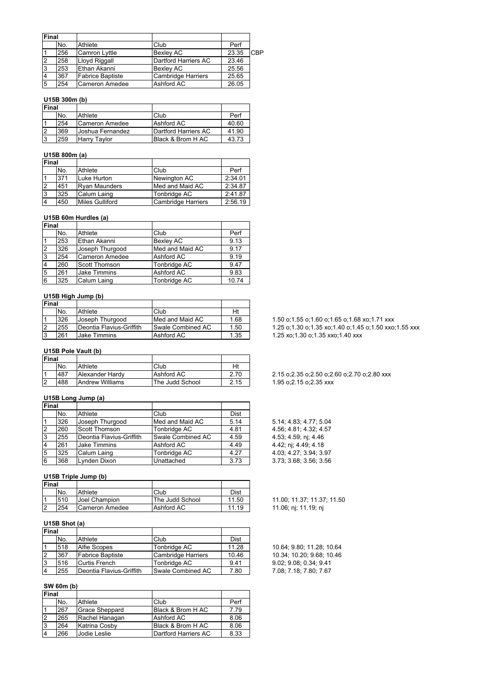| Final |     |                         |                           |       |     |
|-------|-----|-------------------------|---------------------------|-------|-----|
|       | No. | Athlete                 | Club                      | Perf  |     |
|       | 256 | <b>Camron Lyttle</b>    | Bexley AC                 | 23.35 | CBP |
| 2     | 258 | Lloyd Riggall           | Dartford Harriers AC      | 23.46 |     |
| 3     | 253 | Ethan Akanni            | Bexley AC                 | 25.56 |     |
|       | 367 | <b>Fabrice Baptiste</b> | <b>Cambridge Harriers</b> | 25.65 |     |
| 5     | 254 | Cameron Amedee          | Ashford AC                | 26.05 |     |

## **U15B 300m (b)**

| <b>IFinal</b> |     |                   |                      |       |
|---------------|-----|-------------------|----------------------|-------|
|               | No. | Athlete           | Club                 | Perf  |
|               | 254 | Cameron Amedee    | Ashford AC           | 40.60 |
|               | 369 | IJoshua Fernandez | Dartford Harriers AC | 41.90 |
|               | 259 | Harry Tavlor      | IBlack & Brom H AC   | 43.73 |

## **U15B 800m (a)**

| <b>Final</b> |     |                        |                           |         |
|--------------|-----|------------------------|---------------------------|---------|
|              | No. | Athlete                | Club                      | Perf    |
|              | 371 | Luke Hurton            | Newington AC              | 2:34.01 |
|              | 451 | <b>Ryan Maunders</b>   | Med and Maid AC           | 2:34.87 |
| 3            | 325 | Calum Laing            | Tonbridge AC              | 2:41.87 |
|              | 450 | <b>Miles Gulliford</b> | <b>Cambridge Harriers</b> | 2:56.19 |

#### **U15B 60m Hurdles (a)**

| Final |     |                      |                  |       |
|-------|-----|----------------------|------------------|-------|
|       | No. | Athlete              | Club             | Perf  |
|       | 253 | Ethan Akanni         | <b>Bexley AC</b> | 9.13  |
| 2     | 326 | Joseph Thurgood      | Med and Maid AC  | 9.17  |
| 3     | 254 | Cameron Amedee       | Ashford AC       | 9.19  |
|       | 260 | <b>Scott Thomson</b> | Tonbridge AC     | 9.47  |
| .5    | 261 | Jake Timmins         | Ashford AC       | 9.83  |
| 6     | 325 | Calum Laing          | Tonbridge AC     | 10.74 |

## **U15B High Jump (b)**

| <b>Final</b> |     |                          |                   |      |
|--------------|-----|--------------------------|-------------------|------|
|              | No. | Athlete                  | Club              | Ht   |
|              | 326 | Joseph Thurgood          | Med and Maid AC   | 1.68 |
|              | 255 | Deontia Flavius-Griffith | Swale Combined AC | 1.50 |
| l3           | 261 | <b>Jake Timmins</b>      | Ashford AC        | 1.35 |

### **U15B Pole Vault (b)**

| Final |     |                 |                 |      |
|-------|-----|-----------------|-----------------|------|
|       | No. | Athlete         | Club            | Ht   |
|       | 487 | Alexander Hardy | Ashford AC      | 2.70 |
| l2    | 488 | Andrew Williams | The Judd School | 2.15 |

## **U15B Long Jump (a)**

| <b>IFinal</b> |     |                          |                   |      |                        |
|---------------|-----|--------------------------|-------------------|------|------------------------|
|               | No. | Athlete                  | Club              | Dist |                        |
|               | 326 | Joseph Thurgood          | Med and Maid AC   | 5.14 | 5.14; 4.83; 4.77; 5.04 |
| 2             | 260 | Scott Thomson            | Tonbridge AC      | 4.81 | 4.56; 4.81; 4.32; 4.57 |
| l3            | 255 | Deontia Flavius-Griffith | Swale Combined AC | 4.59 | 4.53; 4.59; nj; 4.46   |
| 14            | 261 | Jake Timmins             | Ashford AC        | 4.49 | 4.42; nj; 4.49; 4.18   |
| 5             | 325 | Calum Laing              | Tonbridge AC      | 4.27 | 4.03; 4.27; 3.94; 3.97 |
| 6             | 368 | Lynden Dixon             | Unattached        | 3.73 | 3.73; 3.68; 3.56; 3.56 |

## **U15B Triple Jump (b)**

| Final |     |                |                 |       |
|-------|-----|----------------|-----------------|-------|
|       | No. | Athlete        | Club            | Dist  |
|       | 510 | Joel Champion  | The Judd School | 11.50 |
| - מ   | 254 | Cameron Amedee | Ashford AC      | 11.19 |

## **U15B Shot (a)**

| <b>Final</b>   |     |                          |                    |       |
|----------------|-----|--------------------------|--------------------|-------|
|                | No. | Athlete                  | Club               | Dist  |
|                | 518 | <b>Alfie Scopes</b>      | Tonbridge AC       | 11.28 |
| $\overline{2}$ | 367 | <b>Fabrice Baptiste</b>  | Cambridge Harriers | 10.46 |
| Iз             | 516 | Curtis French            | Tonbridge AC       | 9.41  |
| $\overline{4}$ | 255 | Deontia Flavius-Griffith | Swale Combined AC  | 7.80  |

# **SW 60m (b)**

| Final          |     |                       |                      |      |
|----------------|-----|-----------------------|----------------------|------|
|                | No. | Athlete               | Club                 | Perf |
|                | 267 | <b>Grace Sheppard</b> | Black & Brom H AC    | 7.79 |
| $\overline{2}$ | 265 | Rachel Hanagan        | Ashford AC           | 8.06 |
| 3              | 264 | Katrina Cosby         | Black & Brom H AC    | 8.06 |
| $\overline{4}$ | 266 | Jodie Leslie          | Dartford Harriers AC | 8.33 |

1.50 o;1.55 o;1.60 o;1.65 o;1.68 xo;1.71 xxx 1.25 o;1.30 o;1.35 xo;1.40 o;1.45 o;1.50 xxo;1.55 xxx 1.25 xo;1.30 o;1.35 xxo;1.40 xxx

#### 2.15 o;2.35 o;2.50 o;2.60 o;2.70 o;2.80 xxx 1.95 o;2.15 o;2.35 xxx

| 5.14; 4.83; 4.77; 5.04 |
|------------------------|
| 4.56; 4.81; 4.32; 4.57 |
| 4.53; 4.59; nj; 4.46   |
| 4.42; nj; 4.49; 4.18   |
| 4.03; 4.27; 3.94; 3.97 |
| 3.73; 3.68; 3.56; 3.56 |

11.00; 11.37; 11.37; 11.50 11.06; nj; 11.19; nj

10.64; 9.80; 11.28; 10.64 10.34; 10.20; 9.68; 10.46  $9.02; 9.08; 0.34; 9.41$ 7.08; 7.18; 7.80; 7.67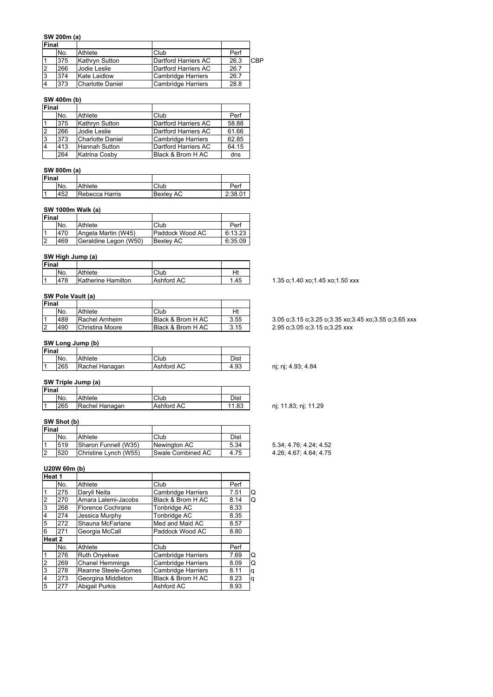#### **SW 200m (a)**

| <b>Final</b> |     |                     |                           |      |     |
|--------------|-----|---------------------|---------------------------|------|-----|
|              | No. | Athlete             | Club                      | Perf |     |
|              | 375 | Kathryn Sutton      | Dartford Harriers AC      | 26.3 | CBP |
|              | 266 | <b>Jodie Leslie</b> | Dartford Harriers AC      | 26.7 |     |
|              | 374 | Kate Laidlow        | Cambridge Harriers        | 26.7 |     |
|              | 373 | Charlotte Daniel    | <b>Cambridge Harriers</b> | 28.8 |     |

## **SW 400m (b)**

| <b>Final</b> |     |                      |                      |       |
|--------------|-----|----------------------|----------------------|-------|
|              | No. | Athlete              | Club                 | Perf  |
|              | 375 | Kathryn Sutton       | Dartford Harriers AC | 58.88 |
|              | 266 | Jodie Leslie         | Dartford Harriers AC | 61.66 |
|              | 373 | Charlotte Daniel     | Cambridge Harriers   | 62.85 |
|              | 413 | <b>Hannah Sutton</b> | Dartford Harriers AC | 64.15 |
|              | 264 | Katrina Cosby        | Black & Brom H AC    | dns   |

### **SW 800m (a)**

| <b>Final</b> |     |                |                  |         |
|--------------|-----|----------------|------------------|---------|
|              | No. | Athlete        | Club             | Perf    |
|              | 452 | Rebecca Harris | <b>Bexlev AC</b> | 2:38.01 |

## **SW 1000m Walk (a)**

| Final    |     |                       |                  |         |
|----------|-----|-----------------------|------------------|---------|
|          | No. | Athlete               | Club             | Perf    |
|          | 470 | Angela Martin (W45)   | Paddock Wood AC  | 6:13.23 |
| <u>2</u> | 469 | Geraldine Legon (W50) | <b>Bexley AC</b> | 6:35.09 |

## **SW High Jump (a)**

| Final |     |                    |            |      |
|-------|-----|--------------------|------------|------|
|       | No. | Athlete            | Club       | Ht   |
|       | 478 | Katherine Hamilton | Ashford AC | 1.45 |

## **SW Pole Vault (a)**

| Final |     |                 |                   |      |
|-------|-----|-----------------|-------------------|------|
|       | No. | Athlete         | Club              | Ht   |
|       | 489 | Rachel Arnheim  | Black & Brom H AC | 3.55 |
| l2    | 490 | Christina Moore | Black & Brom H AC | 3.15 |

#### **SW Long Jump (b)**

| Final |     |                |            |      |
|-------|-----|----------------|------------|------|
|       | No. | Athlete        | Club       | Dist |
|       | 265 | Rachel Hanagan | Ashford AC | 4.93 |

# **SW Triple Jump (a)**

| <b>Final</b> |     |                |            |       |
|--------------|-----|----------------|------------|-------|
|              | No. | Athlete        | Club       | Dist  |
|              | 265 | Rachel Hanagan | Ashford AC | 11.83 |

## **SW Shot (b)**

| <b>Final</b> |     |                       |                          |      |
|--------------|-----|-----------------------|--------------------------|------|
|              | No. | Athlete               | Club                     | Dist |
|              | 519 | Sharon Funnell (W35)  | Newington AC             | 5.34 |
|              | 520 | Christine Lynch (W55) | <b>Swale Combined AC</b> | 4.75 |

## **U20W 60m (b)**

| No. | Athlete                | Club                      | Perf |   |
|-----|------------------------|---------------------------|------|---|
| 275 | Daryll Neita           | <b>Cambridge Harriers</b> | 7.51 | Q |
| 270 | Amara Lalemi-Jacobs    | Black & Brom H AC         | 8.14 | Q |
| 268 | Florence Cochrane      | Tonbridge AC              | 8.33 |   |
| 274 | Jessica Murphy         | Tonbridge AC              | 8.35 |   |
| 272 | Shauna McFarlane       | Med and Maid AC           | 8.57 |   |
| 271 | Georgia McCall         | Paddock Wood AC           | 8.80 |   |
|     |                        |                           |      |   |
| No. | Athlete                | Club                      | Perf |   |
| 276 | Ruth Onyekwe           | <b>Cambridge Harriers</b> | 7.69 | Q |
| 269 | <b>Chanel Hemmings</b> | <b>Cambridge Harriers</b> | 8.09 | Q |
| 278 | Reanne Steele-Gomes    | <b>Cambridge Harriers</b> | 8.11 | q |
| 273 | Georgina Middleton     | Black & Brom H AC         | 8.23 | q |
| 277 | <b>Abigail Purkis</b>  | Ashford AC                | 8.93 |   |
|     | Heat 1<br>Heat 2       |                           |      |   |

1.35 o;1.40 xo;1.45 xo;1.50 xxx

3.05 o;3.15 o;3.25 o;3.35 xo;3.45 xo;3.55 o;3.65 xxx 2.95 o;3.05 o;3.15 o;3.25 xxx

nj; nj; 4.93; 4.84

nj; 11.83; nj; 11.29

5.34; 4.76; 4.24; 4.52 4.26; 4.67; 4.64; 4.75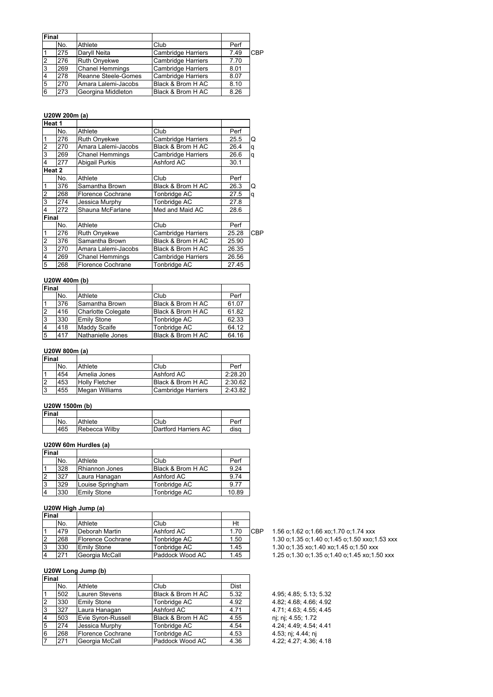| Final |     |                        |                           |      |     |
|-------|-----|------------------------|---------------------------|------|-----|
|       | No. | Athlete                | Club                      | Perf |     |
|       | 275 | Daryll Neita           | <b>Cambridge Harriers</b> | 7.49 | CBP |
| 12    | 276 | <b>Ruth Onyekwe</b>    | <b>Cambridge Harriers</b> | 7.70 |     |
| l3    | 269 | <b>Chanel Hemmings</b> | <b>Cambridge Harriers</b> | 8.01 |     |
|       | 278 | Reanne Steele-Gomes    | <b>Cambridge Harriers</b> | 8.07 |     |
| 15    | 270 | Amara Lalemi-Jacobs    | Black & Brom H AC         | 8.10 |     |
| 6     | 273 | Georgina Middleton     | Black & Brom H AC         | 8.26 |     |

# **U20W 200m (a)**

|        | $\mathbf{v}$           |                                    |       |     |
|--------|------------------------|------------------------------------|-------|-----|
|        |                        |                                    |       |     |
| No.    | Athlete                | Club                               | Perf  |     |
| 276    | <b>Ruth Onyekwe</b>    | <b>Cambridge Harriers</b>          | 25.5  | Q   |
| 270    | Amara Lalemi-Jacobs    | Black & Brom H AC                  | 26.4  | q   |
| 269    | <b>Chanel Hemmings</b> | <b>Cambridge Harriers</b>          | 26.6  | q   |
| 277    | Abigail Purkis         | Ashford AC                         | 30.1  |     |
| Heat 2 |                        |                                    |       |     |
| No.    | Athlete                | Club                               | Perf  |     |
| 376    | Samantha Brown         | Black & Brom H AC                  | 26.3  | Q   |
| 268    | Florence Cochrane      | Tonbridge AC                       | 27.5  | q   |
| 274    | Jessica Murphy         | Tonbridge AC                       | 27.8  |     |
| 272    | Shauna McFarlane       | Med and Maid AC                    | 28.6  |     |
| Final  |                        |                                    |       |     |
| No.    | Athlete                | Club                               | Perf  |     |
| 276    | <b>Ruth Onyekwe</b>    | <b>Cambridge Harriers</b>          | 25.28 | CBP |
| 376    | Samantha Brown         | Black & Brom H AC                  | 25.90 |     |
| 270    | Amara Lalemi-Jacobs    | Black & Brom H AC                  | 26.35 |     |
| 269    | <b>Chanel Hemmings</b> | <b>Cambridge Harriers</b><br>26.56 |       |     |
| 268    | Florence Cochrane      | Tonbridge AC                       | 27.45 |     |
|        | Heat 1                 |                                    |       |     |

## **U20W 400m (b)**

| Final          |     |                     |                   |       |
|----------------|-----|---------------------|-------------------|-------|
|                | No. | Athlete             | Club              | Perf  |
| l1             | 376 | Samantha Brown      | Black & Brom H AC | 61.07 |
| $\overline{2}$ | 416 | Charlotte Colegate  | Black & Brom H AC | 61.82 |
| 3              | 330 | <b>Emily Stone</b>  | Tonbridge AC      | 62.33 |
| $\overline{4}$ | 418 | <b>Maddy Scaife</b> | Tonbridge AC      | 64.12 |
| $\overline{5}$ | 417 | Nathanielle Jones   | Black & Brom H AC | 64.16 |

## **U20W 800m (a)**

| Final |     |                       |                    |         |
|-------|-----|-----------------------|--------------------|---------|
|       | No. | Athlete               | Club               | Perf    |
|       | 454 | Amelia Jones          | Ashford AC         | 2:28.20 |
| l2    | 453 | <b>Holly Fletcher</b> | Black & Brom H AC  | 2:30.62 |
| l3    | 455 | Megan Williams        | Cambridge Harriers | 2:43.82 |

#### **U20W 1500m (b)**

| Final |     |               |                      |      |
|-------|-----|---------------|----------------------|------|
|       | No. | Athlete       | Club                 | Perf |
|       | 465 | Rebecca Wilby | Dartford Harriers AC | disa |

#### **U20W 60m Hurdles (a)**

| Final |     |                    |                   |       |
|-------|-----|--------------------|-------------------|-------|
|       | No. | Athlete            | Club              | Perf  |
|       | 328 | Rhiannon Jones     | Black & Brom H AC | 9.24  |
|       | 327 | Laura Hanagan      | Ashford AC        | 9.74  |
| Ι3    | 329 | Louise Springham   | Tonbridge AC      | 9.77  |
|       | 330 | <b>Emily Stone</b> | Tonbridge AC      | 10.89 |

## **U20W High Jump (a)**

| Final |     |                    |                 |      |     |
|-------|-----|--------------------|-----------------|------|-----|
|       | No. | Athlete            | Club            | Ht   |     |
|       | 479 | Deborah Martin     | Ashford AC      | 1.70 | CBP |
|       | 268 | Florence Cochrane  | Tonbridge AC    | 1.50 |     |
|       | 330 | <b>Emily Stone</b> | Tonbridge AC    | 1.45 |     |
|       | 271 | Georgia McCall     | Paddock Wood AC | 1.45 |     |

**U20W Long Jump (b)**

| Final        |     |                    |                   |             |                        |
|--------------|-----|--------------------|-------------------|-------------|------------------------|
|              | No. | Athlete            | Club              | <b>Dist</b> |                        |
|              | 502 | Lauren Stevens     | Black & Brom H AC | 5.32        | 4.95; 4.85; 5.13; 5.32 |
| <sup>2</sup> | 330 | <b>Emily Stone</b> | Tonbridge AC      | 4.92        | 4.82; 4.68; 4.66; 4.92 |
| l3           | 327 | Laura Hanagan      | Ashford AC        | 4.71        | 4.71; 4.63; 4.55; 4.45 |
| 14           | 503 | Evie Svron-Russell | Black & Brom H AC | 4.55        | nj; nj; 4.55; 1.72     |
| 5            | 274 | Jessica Murphy     | Tonbridge AC      | 4.54        | 4.24; 4.49; 4.54; 4.41 |
| 6            | 268 | Florence Cochrane  | Tonbridge AC      | 4.53        | 4.53; nj; 4.44; nj     |
| 17           | 271 | Georgia McCall     | Paddock Wood AC   | 4.36        | 4.22; 4.27; 4.36; 4.18 |

- 1.56 o;1.62 o;1.66 xo;1.70 o;1.74 xxx
- 
- 1.30 o;1.35 o;1.40 o;1.45 o;1.50 xxo;1.53 xxx
- 1.30 o;1.35 xo;1.40 xo;1.45 o;1.50 xxx
- 1.25 o;1.30 o;1.35 o;1.40 o;1.45 xo;1.50 xxx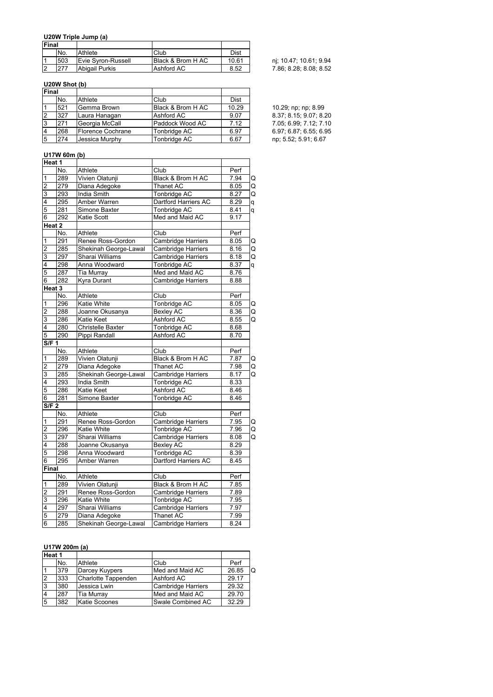## **U20W Triple Jump (a)**

| <b>IFinal</b> |            |                    |                   |       |                        |
|---------------|------------|--------------------|-------------------|-------|------------------------|
|               | INo.       | Athlete            | Club              | Dist  |                        |
|               | 503        | Evie Syron-Russell | Black & Brom H AC | 10.61 | ni; 10.47; 10.61; 9.94 |
|               | <b>277</b> | Abigail Purkis     | Ashford AC        | 8.52  | 7.86; 8.28; 8.08; 8.52 |

## **U20W Shot (b)**

| Final |     |                   |                   |       |                        |
|-------|-----|-------------------|-------------------|-------|------------------------|
|       | No. | Athlete           | Club              | Dist  |                        |
|       | 521 | Gemma Brown       | Black & Brom H AC | 10.29 | 10.29; np; np; 8.99    |
| 12    | 327 | Laura Hanagan     | Ashford AC        | 9.07  | 8.37; 8.15; 9.07; 8.20 |
| l3    | 271 | Georgia McCall    | Paddock Wood AC   | 7.12  | 7.05; 6.99; 7.12; 7.10 |
| 4     | 268 | Florence Cochrane | Tonbridge AC      | 6.97  | 6.97; 6.87; 6.55; 6.95 |
| 5     | 274 | Jessica Murphy    | Tonbridge AC      | 6.67  | np; 5.52; 5.91; 6.67   |

## **U17W 60m (b)**

|                         | Heat 1 |                       |                           |      |   |
|-------------------------|--------|-----------------------|---------------------------|------|---|
|                         | No.    | Athlete               | Club                      | Perf |   |
| 1                       | 289    | Vivien Olatunji       | Black & Brom H AC         | 7.94 | Q |
| $\overline{c}$          | 279    | Diana Adegoke         | <b>Thanet AC</b>          | 8.05 | Q |
| 3                       | 293    | <b>India Smith</b>    | <b>Tonbridge AC</b>       | 8.27 | Q |
| 4                       | 295    | Amber Warren          | Dartford Harriers AC      | 8.29 | q |
| 5                       | 281    | Simone Baxter         | Tonbridge AC              | 8.41 | q |
| $\overline{6}$          | 292    | Katie Scott           | Med and Maid AC           | 9.17 |   |
|                         | Heat 2 |                       |                           |      |   |
|                         | No.    | Athlete               | Club                      | Perf |   |
| $\overline{1}$          | 291    | Renee Ross-Gordon     | <b>Cambridge Harriers</b> | 8.05 | Q |
| $\overline{2}$          | 285    | Shekinah George-Lawal | Cambridge Harriers        | 8.16 | Q |
| 3                       | 297    | Sharai Williams       | <b>Cambridge Harriers</b> | 8.18 | Q |
| 4                       | 298    | Anna Woodward         | Tonbridge AC              | 8.37 | q |
| 5                       | 287    | Tia Murray            | Med and Maid AC           | 8.76 |   |
| 6                       | 282    | Kyra Durant           | Cambridge Harriers        | 8.88 |   |
|                         | Heat 3 |                       |                           |      |   |
|                         | No.    | Athlete               | Club                      | Perf |   |
| $\overline{\mathbf{1}}$ | 296    | <b>Katie White</b>    | <b>Tonbridge AC</b>       | 8.05 | Q |
| $\overline{2}$          | 288    | Joanne Okusanya       | <b>Bexley AC</b>          | 8.36 | Q |
| 3                       | 286    | Katie Keet            | Ashford AC                | 8.55 | Q |
| 4                       | 280    | Christelle Baxter     | Tonbridge AC              | 8.68 |   |
| $\overline{5}$          | 290    | Pippi Randall         | Ashford AC                | 8.70 |   |
| S/F 1                   |        |                       |                           |      |   |
|                         | No.    | Athlete               | Club                      | Perf |   |
| 1                       | 289    | Vivien Olatunji       | Black & Brom H AC         | 7.87 | Q |
| $\overline{2}$          | 279    | Diana Adegoke         | Thanet AC                 | 7.98 | Q |
| 3                       | 285    | Shekinah George-Lawal | <b>Cambridge Harriers</b> | 8.17 | Q |
| 4                       | 293    | India Smith           | Tonbridge AC              | 8.33 |   |
| 5                       | 286    | Katie Keet            | Ashford AC                | 8.46 |   |
| 6                       | 281    | Simone Baxter         | Tonbridge AC              | 8.46 |   |
| S/F <sub>2</sub>        |        |                       |                           |      |   |
|                         | No.    | Athlete               | Club                      | Perf |   |
| $\overline{1}$          | 291    | Renee Ross-Gordon     | Cambridge Harriers        | 7.95 | Q |
| $\overline{2}$          | 296    | Katie White           | Tonbridge AC              | 7.96 | Q |
| 3                       | 297    | Sharai Williams       | Cambridge Harriers        | 8.08 | Q |
| 4                       | 288    | Joanne Okusanya       | <b>Bexley AC</b>          | 8.29 |   |
| 5                       | 298    | Anna Woodward         | Tonbridge AC              | 8.39 |   |
| 6                       | 295    | Amber Warren          | Dartford Harriers AC      | 8.45 |   |
| Final                   |        |                       |                           |      |   |
|                         | No.    | Athlete               | Club                      | Perf |   |
| $\mathbf{1}$            | 289    | Vivien Olatunji       | Black & Brom H AC         | 7.85 |   |
| $\overline{2}$          | 291    | Renee Ross-Gordon     | Cambridge Harriers        | 7.89 |   |
| 3                       | 296    | Katie White           | Tonbridge AC              | 7.95 |   |
| 4                       | 297    | Sharai Williams       | Cambridge Harriers        | 7.97 |   |
| 5                       | 279    | Diana Adegoke         | Thanet AC                 | 7.99 |   |
| 6                       | 285    | Shekinah George-Lawal | Cambridge Harriers        | 8.24 |   |

## **U17W 200m (a)**

| Heat 1 |     |                     |                           |       |   |
|--------|-----|---------------------|---------------------------|-------|---|
|        | No. | Athlete             | Club                      | Perf  |   |
|        | 379 | Darcey Kuypers      | Med and Maid AC           | 26.85 | O |
| 12     | 333 | Charlotte Tappenden | Ashford AC                | 29.17 |   |
| IЗ     | 380 | Jessica Lwin        | <b>Cambridge Harriers</b> | 29.32 |   |
|        | 287 | <b>Tia Murray</b>   | Med and Maid AC           | 29.70 |   |
| 5      | 382 | Katie Scoones       | Swale Combined AC         | 32.29 |   |

| 10.29; np; np; 8.99    |  |  |  |  |
|------------------------|--|--|--|--|
| 8.37; 8.15; 9.07; 8.20 |  |  |  |  |
| 7.05; 6.99; 7.12; 7.10 |  |  |  |  |
| 6.97; 6.87; 6.55; 6.95 |  |  |  |  |
| np; 5.52; 5.91; 6.67   |  |  |  |  |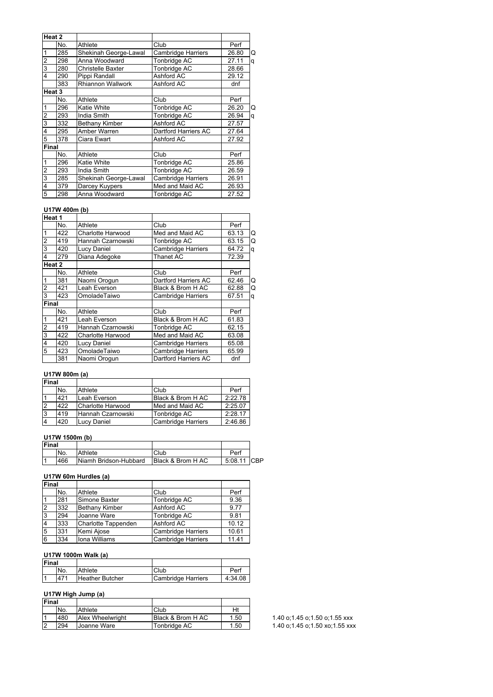| Heat 2         |                   |                          |                           |       |   |
|----------------|-------------------|--------------------------|---------------------------|-------|---|
|                |                   |                          |                           |       |   |
|                | No.               | Athlete                  | Club                      | Perf  |   |
| 1              | 285               | Shekinah George-Lawal    | <b>Cambridge Harriers</b> | 26.80 | Q |
| $\overline{2}$ | 298               | Anna Woodward            | Tonbridge AC              | 27.11 | q |
| 3              | 280               | Christelle Baxter        | Tonbridge AC              | 28.66 |   |
| 4              | 290               | Pippi Randall            | Ashford AC                | 29.12 |   |
|                | 383               | <b>Rhiannon Wallwork</b> | Ashford AC                | dnf   |   |
|                | Heat <sub>3</sub> |                          |                           |       |   |
|                | No.               | Athlete                  | Club                      | Perf  |   |
| 1              | 296               | Katie White              | Tonbridge AC              | 26.20 | Q |
| $\overline{c}$ | 293               | India Smith              | Tonbridge AC              | 26.94 | q |
| 3              | 332               | <b>Bethany Kimber</b>    | Ashford AC                | 27.57 |   |
| 4              | 295               | Amber Warren             | Dartford Harriers AC      | 27.64 |   |
| 5              | 378               | Ciara Ewart              | Ashford AC                | 27.92 |   |
| <b>Final</b>   |                   |                          |                           |       |   |
|                | No.               | Athlete                  | Club                      | Perf  |   |
| 1              | 296               | Katie White              | Tonbridge AC              | 25.86 |   |
| $\overline{c}$ | 293               | India Smith              | Tonbridge AC              | 26.59 |   |
| $\overline{3}$ | 285               | Shekinah George-Lawal    | Cambridge Harriers        | 26.91 |   |
| 4              | 379               | Darcey Kuypers           | Med and Maid AC           | 26.93 |   |
| 5              | 298               | Anna Woodward            | Tonbridge AC              | 27.52 |   |

#### **U17W 400m (b)**

| Heat 1         |     |                          |                           |       |   |
|----------------|-----|--------------------------|---------------------------|-------|---|
|                | No. | Athlete                  | Club                      | Perf  |   |
| 1              | 422 | <b>Charlotte Harwood</b> | Med and Maid AC           | 63.13 | Q |
| $\overline{2}$ | 419 | Hannah Czarnowski        | Tonbridge AC              | 63.15 | Q |
| 3              | 420 | Lucy Daniel              | <b>Cambridge Harriers</b> | 64.72 | q |
| 4              | 279 | Diana Adegoke            | Thanet AC                 | 72.39 |   |
| Heat 2         |     |                          |                           |       |   |
|                | No. | Athlete                  | Club                      | Perf  |   |
| 1              | 381 | Naomi Orogun             | Dartford Harriers AC      | 62.46 | Q |
| $\overline{2}$ | 421 | Leah Everson             | Black & Brom H AC         | 62.88 | Q |
| 3              | 423 | OmoladeTaiwo             | <b>Cambridge Harriers</b> | 67.51 | q |
| Final          |     |                          |                           |       |   |
|                | No. | Athlete                  | Club                      | Perf  |   |
| 1              | 421 | Leah Everson             | Black & Brom H AC         | 61.83 |   |
| $\overline{2}$ | 419 | Hannah Czarnowski        | Tonbridge AC              | 62.15 |   |
| 3              | 422 | Charlotte Harwood        | Med and Maid AC           | 63.08 |   |
| 4              | 420 | Lucy Daniel              | <b>Cambridge Harriers</b> | 65.08 |   |
| 5              | 423 | OmoladeTaiwo             | <b>Cambridge Harriers</b> | 65.99 |   |
|                | 381 | Naomi Orogun             | Dartford Harriers AC      | dnf   |   |

## **U17W 800m (a)**

| Final          |     |                    |                           |         |
|----------------|-----|--------------------|---------------------------|---------|
|                | No. | Athlete            | Club                      | Perf    |
|                | 421 | Leah Everson       | Black & Brom H AC         | 2:22.78 |
| l2             | 422 | Charlotte Harwood  | Med and Maid AC           | 2:25.07 |
| Iз             | 419 | Hannah Czarnowski  | Tonbridge AC              | 2:28.17 |
| $\overline{4}$ | 420 | <b>Lucy Daniel</b> | <b>Cambridge Harriers</b> | 2:46.86 |

## **U17W 1500m (b)**

| Final |     |                       |                   |             |  |
|-------|-----|-----------------------|-------------------|-------------|--|
|       | No. | Athlete               | Club              | Perf        |  |
|       | 466 | Niamh Bridson-Hubbard | Black & Brom H AC | 5:08.11 CBP |  |

## **U17W 60m Hurdles (a)**

| <b>Final</b> |     |                       |                           |       |
|--------------|-----|-----------------------|---------------------------|-------|
|              | No. | Athlete               | Club                      | Perf  |
|              | 281 | Simone Baxter         | Tonbridge AC              | 9.36  |
| İ2           | 332 | <b>Bethany Kimber</b> | Ashford AC                | 9.77  |
| <b>3</b>     | 294 | Joanne Ware           | Tonbridge AC              | 9.81  |
| 4            | 333 | Charlotte Tappenden   | Ashford AC                | 10.12 |
| 15           | 331 | Kemi Ajose            | <b>Cambridge Harriers</b> | 10.61 |
| 6            | 334 | Iona Williams         | <b>Cambridge Harriers</b> | 11.41 |

### **U17W 1000m Walk (a)**

| Final |     |                        |                    |         |
|-------|-----|------------------------|--------------------|---------|
|       | No. | Athlete                | Club               | Perf    |
| l 1   | 471 | <b>Heather Butcher</b> | Cambridge Harriers | 4:34.08 |

## **U17W High Jump (a)**

| Final          |     |                  |                   |      |
|----------------|-----|------------------|-------------------|------|
|                | No. | Athlete          | Club              | Ht   |
| 11             | 480 | Alex Wheelwright | Black & Brom H AC | 1.50 |
| $\overline{2}$ | 294 | Joanne Ware      | Tonbridge AC      | 1.50 |

1.40 o;1.45 o;1.50 o;1.55 xxx 1.40 o;1.45 o;1.50 xo;1.55 xxx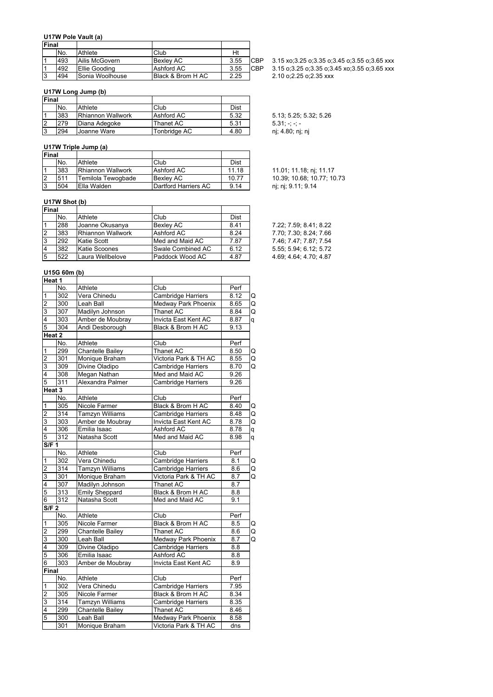#### **U17W Pole Vault (a)**

| <b>Final</b> |     |                 |                    |      |            |
|--------------|-----|-----------------|--------------------|------|------------|
|              | No. | Athlete         | Club               | Ht   |            |
|              | 493 | Ailis McGovern  | <b>Bexlev AC</b>   | 3.55 | <b>CBP</b> |
|              | 492 | Ellie Gooding   | Ashford AC         | 3.55 | <b>CBP</b> |
|              | 494 | Sonia Woolhouse | IBlack & Brom H AC | 2.25 |            |

#### **U17W Long Jump (b)**

| Final |     |                   |              |      |
|-------|-----|-------------------|--------------|------|
|       | No. | Athlete           | Club         | Dist |
|       | 383 | Rhiannon Wallwork | Ashford AC   | 5.32 |
|       | 279 | Diana Adegoke     | Thanet AC    | 5.31 |
| Ι3    | 294 | Joanne Ware       | Tonbridge AC | 4.80 |

## **U17W Triple Jump (a)**

| Final |     |                          |                      |       |                            |
|-------|-----|--------------------------|----------------------|-------|----------------------------|
|       | No. | Athlete                  | Club                 | Dist  |                            |
|       | 383 | <b>Rhiannon Wallwork</b> | Ashford AC           | 11.18 | 11.01; 11.18; nj; 11.17    |
| 12    | 511 | Temilola Tewogbade       | <b>Bexlev AC</b>     | 10.77 | 10.39; 10.68; 10.77; 10.73 |
| IЗ    | 504 | Ella Walden              | Dartford Harriers AC | 9.14  | nj; nj; 9.11; 9.14         |

## **U17W Shot (b)**

| Final          |     |                          |                          |             |                        |
|----------------|-----|--------------------------|--------------------------|-------------|------------------------|
|                | No. | Athlete                  | Club                     | <b>Dist</b> |                        |
|                | 288 | Joanne Okusanya          | <b>Bexlev AC</b>         | 8.41        | 7.22; 7.59; 8.41; 8.22 |
| 12             | 383 | <b>Rhiannon Wallwork</b> | Ashford AC               | 8.24        | 7.70; 7.30; 8.24; 7.66 |
| IЗ             | 292 | Katie Scott              | Med and Maid AC          | 7.87        | 7.46; 7.47; 7.87; 7.54 |
| $\overline{4}$ | 382 | <b>Katie Scoones</b>     | <b>Swale Combined AC</b> | 6.12        | 5.55: 5.94: 6.12: 5.72 |
| 5              | 522 | Laura Wellbelove         | Paddock Wood AC          | 4.87        | 4.69: 4.64: 4.70: 4.87 |

## **U15G 60m (b)**

| Heat 1                  |                   |                         |                           |      |   |
|-------------------------|-------------------|-------------------------|---------------------------|------|---|
|                         | No.               | Athlete                 | Club                      | Perf |   |
| 1                       | 302               | Vera Chinedu            | Cambridge Harriers        | 8.12 | Q |
| $\overline{2}$          | 300               | Leah Ball               | Medway Park Phoenix       | 8.65 | Q |
| دی ا                    | 307               | Madilyn Johnson         | Thanet AC                 | 8.84 | Q |
|                         | 303               | Amber de Moubray        | Invicta East Kent AC      | 8.87 | q |
| 5                       | 304               | Andi Desborough         | Black & Brom H AC         | 9.13 |   |
| Heat 2                  |                   |                         |                           |      |   |
|                         | No.               | Athlete                 | Club                      | Perf |   |
| $\mathbf 1$             | 299               | <b>Chantelle Bailey</b> | Thanet AC                 | 8.50 | Q |
| $\overline{c}$          | 301               | Monique Braham          | Victoria Park & TH AC     | 8.55 | Q |
| 3                       | 309               | Divine Oladipo          | <b>Cambridge Harriers</b> | 8.70 | Q |
| $\overline{4}$          | 308               | Megan Nathan            | Med and Maid AC           | 9.26 |   |
| $\overline{5}$          | 311               | Alexandra Palmer        | <b>Cambridge Harriers</b> | 9.26 |   |
|                         | Heat <sub>3</sub> |                         |                           |      |   |
|                         | No.               | Athlete                 | Club                      | Perf |   |
| $\overline{1}$          | 305               | Nicole Farmer           | Black & Brom H AC         | 8.40 | Q |
| $\overline{c}$          | $\overline{314}$  | <b>Tamzyn Williams</b>  | <b>Cambridge Harriers</b> | 8.48 | Q |
| $\overline{3}$          | 303               | Amber de Moubray        | Invicta East Kent AC      | 8.78 | Q |
| $\overline{4}$          | 306               | Emilia Isaac            | Ashford AC                | 8.78 | q |
| $\overline{5}$          | 312               | Natasha Scott           | Med and Maid AC           | 8.98 | q |
| <b>S/F 1</b>            |                   |                         |                           |      |   |
|                         | No.               | Athlete                 | Club                      | Perf |   |
| $\mathbf 1$             | 302               | Vera Chinedu            | Cambridge Harriers        | 8.1  | Q |
| $\overline{2}$          | 314               | <b>Tamzyn Williams</b>  | <b>Cambridge Harriers</b> | 8.6  | Q |
| 3                       | 301               | Monique Braham          | Victoria Park & TH AC     | 8.7  | Q |
| 4                       | 307               | Madilyn Johnson         | Thanet AC                 | 8.7  |   |
| $\overline{5}$          | 313               | <b>Emily Sheppard</b>   | Black & Brom H AC         | 8.8  |   |
| 6                       | 312               | Natasha Scott           | Med and Maid AC           | 9.1  |   |
| S/F <sub>2</sub>        |                   |                         |                           |      |   |
|                         | No.               | Athlete                 | Club                      | Perf |   |
| $\overline{1}$          | 305               | Nicole Farmer           | Black & Brom H AC         | 8.5  | Q |
| $\overline{c}$          | 299               | <b>Chantelle Bailey</b> | Thanet AC                 | 8.6  | Q |
| 3                       | 300               | Leah Ball               | Medway Park Phoenix       | 8.7  | Q |
| $\overline{\mathbf{4}}$ | 309               | Divine Oladipo          | <b>Cambridge Harriers</b> | 8.8  |   |
| 5                       | 306               | Emilia Isaac            | Ashford AC                | 8.8  |   |
| $\overline{6}$          | 303               | Amber de Moubray        | Invicta East Kent AC      | 8.9  |   |
| Final                   |                   |                         |                           |      |   |
|                         | No.               | Athlete                 | Club                      | Perf |   |
| $\mathbf{1}$            | 302               | Vera Chinedu            | Cambridge Harriers        | 7.95 |   |
| $\overline{c}$          | 305               | Nicole Farmer           | Black & Brom H AC         | 8.34 |   |
| 3                       | 314               | Tamzyn Williams         | Cambridge Harriers        | 8.35 |   |
| $\overline{\mathbf{4}}$ | 299               | Chantelle Bailey        | Thanet AC                 | 8.46 |   |
| 5                       | 300               | Leah Ball               | Medway Park Phoenix       | 8.58 |   |
|                         | 301               | Monique Braham          | Victoria Park & TH AC     | dns  |   |

3.15 xo;3.25 o;3.35 o;3.45 o;3.55 o;3.65 xxx  $3.15$  o; $3.25$  o; $3.35$  o; $3.45$  xo; $3.55$  o; $3.65$  xxx  $2.10$  o;2.25 o;2.35 xxx

5.13; 5.25; 5.32; 5.26  $5.31; -; -;$ nj; 4.80; nj; nj

| 7.22: 7.59: 8.41: 8.22 |
|------------------------|
| 7.70: 7.30: 8.24: 7.66 |
| 7.46: 7.47: 7.87: 7.54 |
| 5.55; 5.94; 6.12; 5.72 |
| 4.69; 4.64; 4.70; 4.87 |
|                        |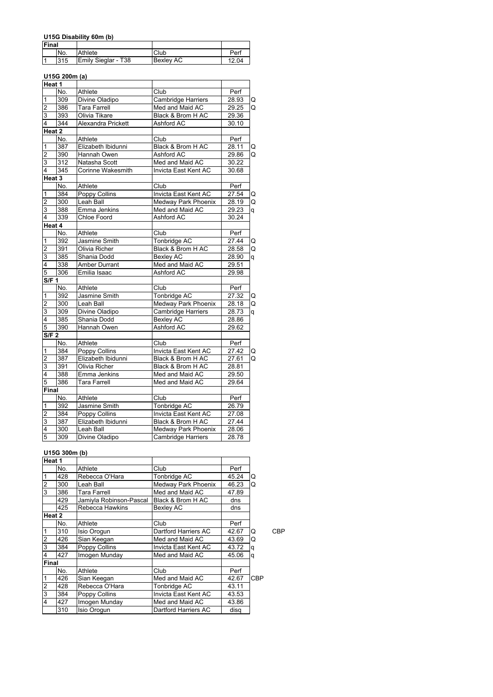## **U15G Disability 60m (b)**

| <b>Final</b> |     |                     |                  |       |
|--------------|-----|---------------------|------------------|-------|
|              | No. | Athlete             | Club             | Perl  |
|              | 315 | Emily Sieglar - T38 | <b>Bexley AC</b> | 12.04 |

## **U15G 200m (a)**

| Heat 1           |        |                      |                      |       |   |
|------------------|--------|----------------------|----------------------|-------|---|
|                  | No.    | Athlete              | Club                 | Perf  |   |
| 1                | 309    | Divine Oladipo       | Cambridge Harriers   | 28.93 | Q |
| $\overline{2}$   | 386    | <b>Tara Farrell</b>  | Med and Maid AC      | 29.25 | Q |
| 3                | 393    | Olivia Tikare        | Black & Brom H AC    | 29.36 |   |
| 4                | 344    | Alexandra Prickett   | Ashford AC           | 30.10 |   |
|                  | Heat 2 |                      |                      |       |   |
|                  | No.    | Athlete              | Club                 | Perf  |   |
| 1                | 387    | Elizabeth Ibidunni   | Black & Brom H AC    | 28.11 | Q |
| $\overline{2}$   | 390    | Hannah Owen          | Ashford AC           | 29.86 | Q |
| 3                | 312    | Natasha Scott        | Med and Maid AC      | 30.22 |   |
| $\overline{4}$   | 345    | Corinne Wakesmith    | Invicta East Kent AC | 30.68 |   |
|                  | Heat 3 |                      |                      |       |   |
|                  | No.    | Athlete              | Club                 | Perf  |   |
| 1                | 384    | <b>Poppy Collins</b> | Invicta East Kent AC | 27.54 | Q |
| $\overline{2}$   | 300    | Leah Ball            | Medway Park Phoenix  | 28.19 | Q |
| $\overline{3}$   | 388    | Emma Jenkins         | Med and Maid AC      | 29.23 | q |
| 4                | 339    | Chloe Foord          | Ashford AC           | 30.24 |   |
|                  | Heat 4 |                      |                      |       |   |
|                  | No.    | Athlete              | Club                 | Perf  |   |
| 1                | 392    | Jasmine Smith        | <b>Tonbridge AC</b>  | 27.44 | Q |
| $\overline{2}$   | 391    | Olivia Richer        | Black & Brom H AC    | 28.58 | Q |
| 3                | 385    | Shania Dodd          | <b>Bexley AC</b>     | 28.90 | q |
| 4                | 338    | Amber Durrant        | Med and Maid AC      | 29.51 |   |
| 5                | 306    | Emilia Isaac         | Ashford AC           | 29.98 |   |
| S/F <sub>1</sub> |        |                      |                      |       |   |
|                  | No.    | Athlete              | Club                 | Perf  |   |
| 1                | 392    | Jasmine Smith        | <b>Tonbridge AC</b>  | 27.32 | Q |
| $\overline{2}$   | 300    | Leah Ball            | Medway Park Phoenix  | 28.18 | Q |
| 3                | 309    | Divine Oladipo       | Cambridge Harriers   | 28.73 | q |
| 4                | 385    | Shania Dodd          | <b>Bexley AC</b>     | 28.86 |   |
| 5                | 390    | Hannah Owen          | Ashford AC           | 29.62 |   |
| <b>S/F 2</b>     |        |                      |                      |       |   |
|                  | No.    | Athlete              | Club                 | Perf  |   |
| $\mathbf 1$      | 384    | <b>Poppy Collins</b> | Invicta East Kent AC | 27.42 | Q |
| $\overline{2}$   | 387    | Elizabeth Ibidunni   | Black & Brom H AC    | 27.61 | Q |
| $\overline{3}$   | 391    | Olivia Richer        | Black & Brom H AC    | 28.81 |   |
| 4                | 388    | Emma Jenkins         | Med and Maid AC      | 29.50 |   |
| 5                | 386    | Tara Farrell         | Med and Maid AC      | 29.64 |   |
| Final            |        |                      |                      |       |   |
|                  | No.    | Athlete              | Club                 | Perf  |   |
| $\mathbf{1}$     | 392    | Jasmine Smith        | Tonbridge AC         | 26.79 |   |
| $\overline{2}$   | 384    | <b>Poppy Collins</b> | Invicta East Kent AC | 27.08 |   |
| 3                | 387    | Elizabeth Ibidunni   | Black & Brom H AC    | 27.44 |   |
| 4                | 300    | Leah Ball            | Medway Park Phoenix  | 28.06 |   |
| $\overline{5}$   | 309    | Divine Oladipo       | Cambridge Harriers   | 28.78 |   |

#### **U15G 300m (b)**

| Heat 1 |     |                         |                      |       |     |     |
|--------|-----|-------------------------|----------------------|-------|-----|-----|
|        | No. | Athlete                 | Club                 | Perf  |     |     |
|        | 428 | Rebecca O'Hara          | Tonbridge AC         | 45.24 | Q   |     |
| 2      | 300 | Leah Ball               | Medway Park Phoenix  | 46.23 | Q   |     |
| 3      | 386 | Tara Farrell            | Med and Maid AC      | 47.89 |     |     |
|        | 429 | Jamiyla Robinson-Pascal | Black & Brom H AC    | dns   |     |     |
|        | 425 | Rebecca Hawkins         | Bexley AC            | dns   |     |     |
| Heat 2 |     |                         |                      |       |     |     |
|        | No. | Athlete                 | Club                 | Perf  |     |     |
|        | 310 | Isio Orogun             | Dartford Harriers AC | 42.67 | Q   | CBP |
| 2      | 426 | Sian Keegan             | Med and Maid AC      | 43.69 | Q   |     |
| 3      | 384 | Poppy Collins           | Invicta East Kent AC | 43.72 | a   |     |
| 4      | 427 | Imogen Munday           | Med and Maid AC      | 45.06 | q   |     |
| Final  |     |                         |                      |       |     |     |
|        | No. | Athlete                 | Club                 | Perf  |     |     |
|        | 426 | Sian Keegan             | Med and Maid AC      | 42.67 | CBP |     |
| 2      | 428 | Rebecca O'Hara          | Tonbridge AC         | 43.11 |     |     |
| 3      | 384 | Poppy Collins           | Invicta East Kent AC | 43.53 |     |     |
| 4      | 427 | Imogen Munday           | Med and Maid AC      | 43.86 |     |     |
|        | 310 | Isio Orogun             | Dartford Harriers AC | disa  |     |     |
|        |     |                         |                      |       |     |     |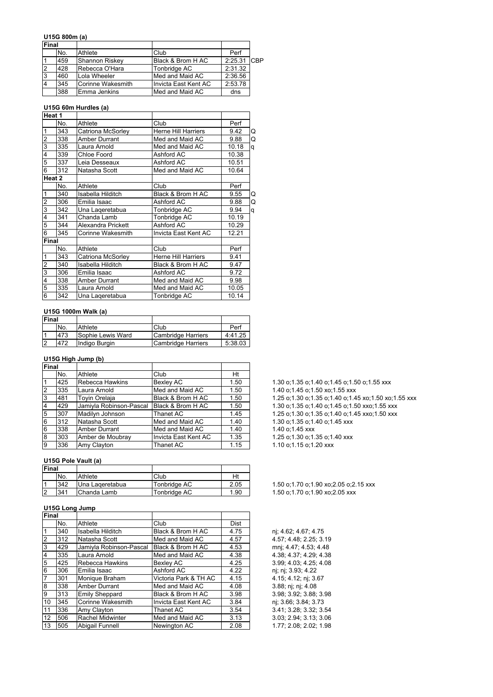#### **U15G 800m (a)**

| <b>Final</b> |     |                   |                       |             |  |
|--------------|-----|-------------------|-----------------------|-------------|--|
|              | No. | Athlete           | Club                  | Perf        |  |
|              | 459 | Shannon Riskey    | Black & Brom H AC     | 2:25.31 CBP |  |
|              | 428 | Rebecca O'Hara    | Tonbridge AC          | 2:31.32     |  |
|              | 460 | Lola Wheeler      | Med and Maid AC       | 2:36.56     |  |
|              | 345 | Corinne Wakesmith | Ilnvicta East Kent AC | 2:53.78     |  |
|              | 388 | Emma Jenkins      | Med and Maid AC       | dns         |  |

### **U15G 60m Hurdles (a)**

| Heat 1         |        |                      |                            |       |   |
|----------------|--------|----------------------|----------------------------|-------|---|
|                | No.    | Athlete              | Club                       | Perf  |   |
| $\mathbf{1}$   | 343    | Catriona McSorley    | <b>Herne Hill Harriers</b> | 9.42  | Q |
| $\overline{2}$ | 338    | Amber Durrant        | Med and Maid AC            | 9.88  | Q |
| 3              | 335    | Laura Arnold         | Med and Maid AC            | 10.18 | q |
| 4              | 339    | Chloe Foord          | Ashford AC                 | 10.38 |   |
| 5              | 337    | Leia Desseaux        | Ashford AC                 | 10.51 |   |
| 6              | 312    | Natasha Scott        | Med and Maid AC            | 10.64 |   |
|                | Heat 2 |                      |                            |       |   |
|                | No.    | Athlete              | Club                       | Perf  |   |
| $\overline{1}$ | 340    | Isabella Hilditch    | Black & Brom H AC          | 9.55  | Q |
| $\overline{2}$ | 306    | Emilia Isaac         | Ashford AC                 | 9.88  | Q |
| 3              | 342    | Una Lageretabua      | Tonbridge AC               | 9.94  | q |
| $\overline{4}$ | 341    | Chanda Lamb          | Tonbridge AC               | 10.19 |   |
| 5              | 344    | Alexandra Prickett   | Ashford AC                 | 10.29 |   |
| $\overline{6}$ | 345    | Corinne Wakesmith    | Invicta East Kent AC       | 12.21 |   |
| <b>Final</b>   |        |                      |                            |       |   |
|                | No.    | Athlete              | Club                       | Perf  |   |
| $\mathbf{1}$   | 343    | Catriona McSorley    | <b>Herne Hill Harriers</b> | 9.41  |   |
| $\overline{2}$ | 340    | Isabella Hilditch    | Black & Brom H AC          | 9.47  |   |
| 3              | 306    | Emilia Isaac         | Ashford AC                 | 9.72  |   |
| 4              | 338    | <b>Amber Durrant</b> | Med and Maid AC            | 9.98  |   |
| 5              | 335    | Laura Arnold         | Med and Maid AC            | 10.05 |   |
| $\overline{6}$ | 342    | Una Lageretabua      | Tonbridge AC               | 10.14 |   |

#### **U15G 1000m Walk (a)**

| <b>Final</b> |     |                   |                    |         |
|--------------|-----|-------------------|--------------------|---------|
|              | No. | Athlete           | Club               | Perf    |
|              | 473 | Sophie Lewis Ward | Cambridge Harriers | 4:41.25 |
| l2           | 472 | Indigo Burgin     | Cambridge Harriers | 5:38.03 |

#### **U15G High Jump (b)**

| Final          |     |                         |                      |      |
|----------------|-----|-------------------------|----------------------|------|
|                | No. | Athlete                 | Club                 | Ht   |
|                | 425 | Rebecca Hawkins         | <b>Bexley AC</b>     | 1.50 |
| $\overline{2}$ | 335 | Laura Arnold            | Med and Maid AC      | 1.50 |
| 3              | 481 | <b>Tovin Orelaja</b>    | Black & Brom H AC    | 1.50 |
| $\overline{4}$ | 429 | Jamiyla Robinson-Pascal | Black & Brom H AC    | 1.50 |
| 5              | 307 | Madilyn Johnson         | Thanet AC            | 1.45 |
| 6              | 312 | Natasha Scott           | Med and Maid AC      | 1.40 |
| 6              | 338 | <b>Amber Durrant</b>    | Med and Maid AC      | 1.40 |
| $\overline{8}$ | 303 | Amber de Moubray        | Invicta East Kent AC | 1.35 |
| 9              | 336 | Amy Clayton             | Thanet AC            | 1.15 |

### **U15G Pole Vault (a)**

| Final          |     |                 |              |      |
|----------------|-----|-----------------|--------------|------|
|                | No. | Athlete         | Club         | Ht   |
| ا ا            | 342 | Una Lageretabua | Tonbridge AC | 2.05 |
| $\overline{2}$ | 341 | Chanda Lamb     | Tonbridge AC | 1.90 |

#### **U15G Long Jump**

| Final          |     |                         |                       |      |
|----------------|-----|-------------------------|-----------------------|------|
|                | No. | Athlete                 | Club                  | Dist |
|                | 340 | Isabella Hilditch       | Black & Brom H AC     | 4.75 |
| $\frac{1}{2}$  | 312 | Natasha Scott           | Med and Maid AC       | 4.57 |
|                | 429 | Jamiyla Robinson-Pascal | Black & Brom H AC     | 4.53 |
| $\frac{4}{5}$  | 335 | Laura Arnold            | Med and Maid AC       | 4.38 |
|                | 425 | Rebecca Hawkins         | <b>Bexley AC</b>      | 4.25 |
|                | 306 | Emilia Isaac            | Ashford AC            | 4.22 |
| $\overline{7}$ | 301 | Monique Braham          | Victoria Park & TH AC | 4.15 |
| $\bf{8}$       | 338 | <b>Amber Durrant</b>    | Med and Maid AC       | 4.08 |
| $\overline{9}$ | 313 | <b>Emily Sheppard</b>   | Black & Brom H AC     | 3.98 |
| 10             | 345 | Corinne Wakesmith       | Invicta East Kent AC  | 3.84 |
| 11             | 336 | Amy Clayton             | Thanet AC             | 3.54 |
| 12             | 506 | Rachel Midwinter        | Med and Maid AC       | 3.13 |
| 13             | 505 | Abigail Funnell         | Newington AC          | 2.08 |

1.30 o;1.35 o;1.40 o;1.45 o;1.50 o;1.55 xxx 1.40 o;1.45 o;1.50 xo;1.55 xxx 1.25 o;1.30 o;1.35 o;1.40 o;1.45 xo;1.50 xo;1.55 xxx 1.30 o;1.35 o;1.40 o;1.45 o;1.50 xxo;1.55 xxx 5 307 Madilyn Johnson Thanet AC 1.45 1.25 o;1.30 o;1.35 o;1.40 o;1.45 xxo;1.50 xxx 1.30 o;1.35 o;1.40 o;1.45 xxx 1.40 o;1.45 xxx 1.25 o;1.30 o;1.35 o;1.40 xxx 1.10 o;1.15 o;1.20 xxx

1.50 o;1.70 o;1.90 xo;2.05 o;2.15 xxx 1.50 o;1.70 o;1.90 xo;2.05 xxx

nj; 4.62; 4.67; 4.75 4.57; 4.48; 2.25; 3.19 mnj; 4.47; 4.53; 4.48 4.38; 4.37; 4.29; 4.38  $3.99; 4.03; 4.25; 4.08$ nj; nj; 3.93; 4.22 4.15; 4.12; nj; 3.67 3.88; nj; nj; 4.08 3.98; 3.92; 3.88; 3.98 nj; 3.66; 3.84; 3.73 3.41; 3.28; 3.32; 3.54 12 506 Rachel Midwinter Med and Maid AC 3.13 3.03; 2.94; 3.13; 3.06 1.77; 2.08; 2.02; 1.98